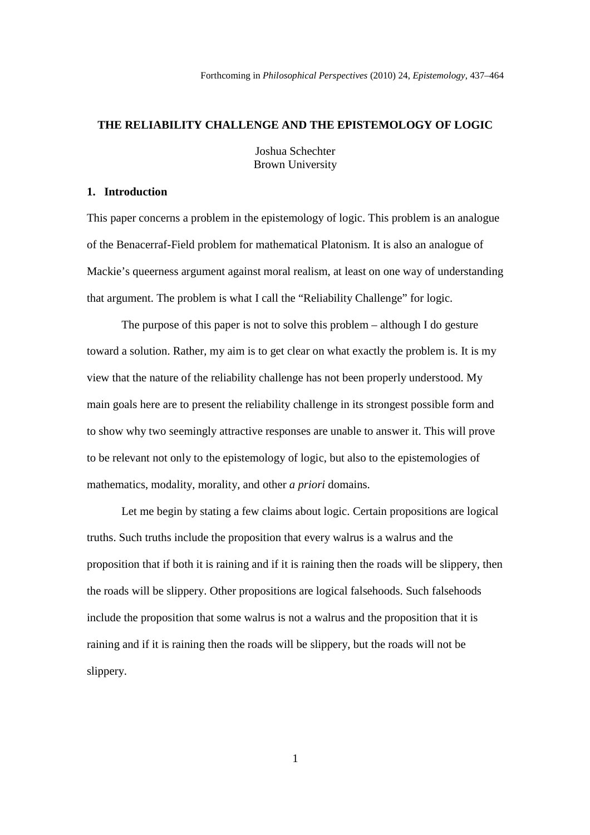#### **THE RELIABILITY CHALLENGE AND THE EPISTEMOLOGY OF LOGIC**

Joshua Schechter Brown University

## **1. Introduction**

This paper concerns a problem in the epistemology of logic. This problem is an analogue of the Benacerraf-Field problem for mathematical Platonism. It is also an analogue of Mackie's queerness argument against moral realism, at least on one way of understanding that argument. The problem is what I call the "Reliability Challenge" for logic.

The purpose of this paper is not to solve this problem – although I do gesture toward a solution. Rather, my aim is to get clear on what exactly the problem is. It is my view that the nature of the reliability challenge has not been properly understood. My main goals here are to present the reliability challenge in its strongest possible form and to show why two seemingly attractive responses are unable to answer it. This will prove to be relevant not only to the epistemology of logic, but also to the epistemologies of mathematics, modality, morality, and other *a priori* domains.

Let me begin by stating a few claims about logic. Certain propositions are logical truths. Such truths include the proposition that every walrus is a walrus and the proposition that if both it is raining and if it is raining then the roads will be slippery, then the roads will be slippery. Other propositions are logical falsehoods. Such falsehoods include the proposition that some walrus is not a walrus and the proposition that it is raining and if it is raining then the roads will be slippery, but the roads will not be slippery.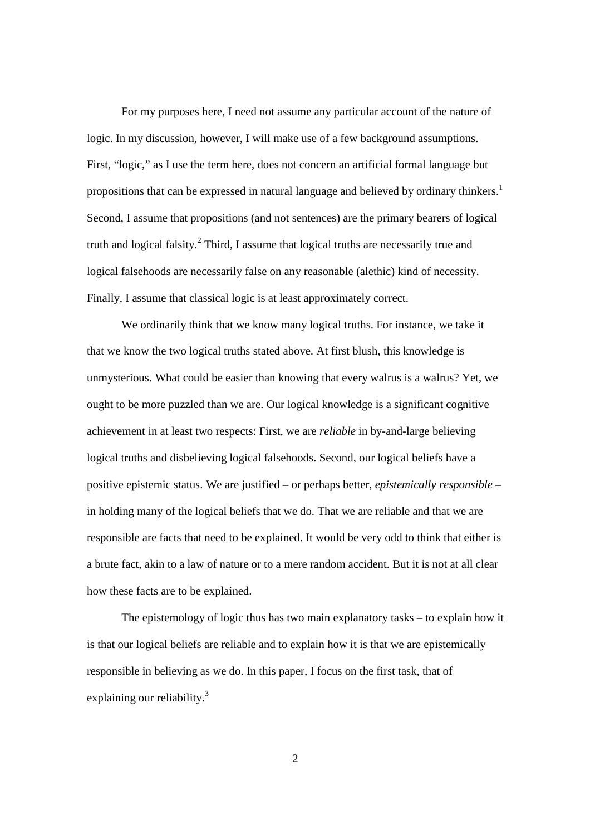For my purposes here, I need not assume any particular account of the nature of logic. In my discussion, however, I will make use of a few background assumptions. First, "logic," as I use the term here, does not concern an artificial formal language but propositions that can be expressed in natural language and believed by ordinary thinkers.<sup>1</sup> Second, I assume that propositions (and not sentences) are the primary bearers of logical truth and logical falsity.<sup>2</sup> Third, I assume that logical truths are necessarily true and logical falsehoods are necessarily false on any reasonable (alethic) kind of necessity. Finally, I assume that classical logic is at least approximately correct.

We ordinarily think that we know many logical truths. For instance, we take it that we know the two logical truths stated above. At first blush, this knowledge is unmysterious. What could be easier than knowing that every walrus is a walrus? Yet, we ought to be more puzzled than we are. Our logical knowledge is a significant cognitive achievement in at least two respects: First, we are *reliable* in by-and-large believing logical truths and disbelieving logical falsehoods. Second, our logical beliefs have a positive epistemic status. We are justified – or perhaps better, *epistemically responsible* – in holding many of the logical beliefs that we do. That we are reliable and that we are responsible are facts that need to be explained. It would be very odd to think that either is a brute fact, akin to a law of nature or to a mere random accident. But it is not at all clear how these facts are to be explained.

The epistemology of logic thus has two main explanatory tasks – to explain how it is that our logical beliefs are reliable and to explain how it is that we are epistemically responsible in believing as we do. In this paper, I focus on the first task, that of explaining our reliability.<sup>3</sup>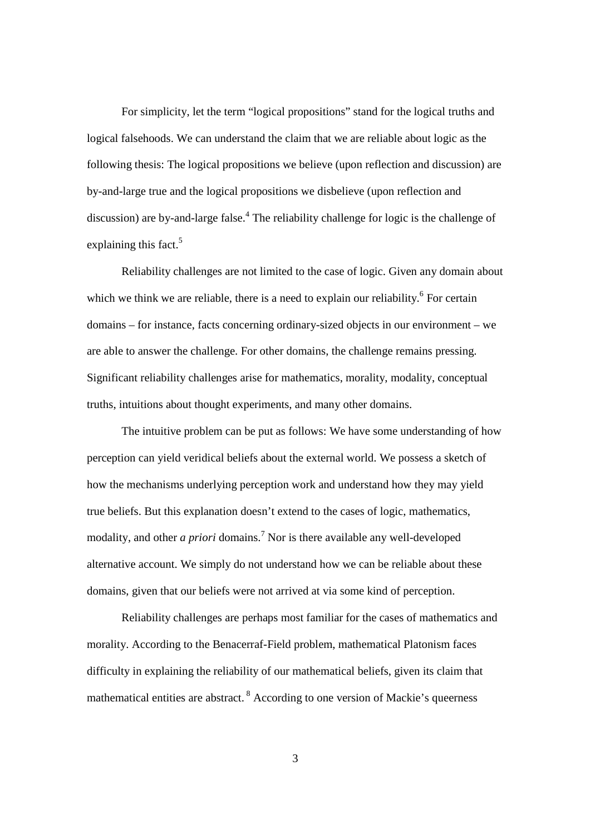For simplicity, let the term "logical propositions" stand for the logical truths and logical falsehoods. We can understand the claim that we are reliable about logic as the following thesis: The logical propositions we believe (upon reflection and discussion) are by-and-large true and the logical propositions we disbelieve (upon reflection and discussion) are by-and-large false.<sup>4</sup> The reliability challenge for logic is the challenge of explaining this fact.<sup>5</sup>

Reliability challenges are not limited to the case of logic. Given any domain about which we think we are reliable, there is a need to explain our reliability.<sup>6</sup> For certain domains – for instance, facts concerning ordinary-sized objects in our environment – we are able to answer the challenge. For other domains, the challenge remains pressing. Significant reliability challenges arise for mathematics, morality, modality, conceptual truths, intuitions about thought experiments, and many other domains.

The intuitive problem can be put as follows: We have some understanding of how perception can yield veridical beliefs about the external world. We possess a sketch of how the mechanisms underlying perception work and understand how they may yield true beliefs. But this explanation doesn't extend to the cases of logic, mathematics, modality, and other *a priori* domains.<sup>7</sup> Nor is there available any well-developed alternative account. We simply do not understand how we can be reliable about these domains, given that our beliefs were not arrived at via some kind of perception.

Reliability challenges are perhaps most familiar for the cases of mathematics and morality. According to the Benacerraf-Field problem, mathematical Platonism faces difficulty in explaining the reliability of our mathematical beliefs, given its claim that mathematical entities are abstract.<sup>8</sup> According to one version of Mackie's queerness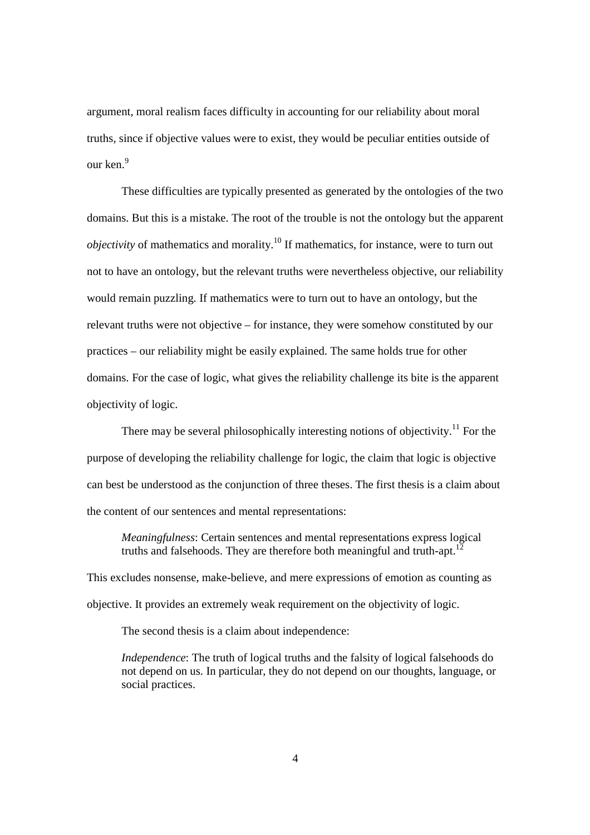argument, moral realism faces difficulty in accounting for our reliability about moral truths, since if objective values were to exist, they would be peculiar entities outside of our ken.<sup>9</sup>

These difficulties are typically presented as generated by the ontologies of the two domains. But this is a mistake. The root of the trouble is not the ontology but the apparent *objectivity* of mathematics and morality.<sup>10</sup> If mathematics, for instance, were to turn out not to have an ontology, but the relevant truths were nevertheless objective, our reliability would remain puzzling. If mathematics were to turn out to have an ontology, but the relevant truths were not objective – for instance, they were somehow constituted by our practices – our reliability might be easily explained. The same holds true for other domains. For the case of logic, what gives the reliability challenge its bite is the apparent objectivity of logic.

There may be several philosophically interesting notions of objectivity.<sup>11</sup> For the purpose of developing the reliability challenge for logic, the claim that logic is objective can best be understood as the conjunction of three theses. The first thesis is a claim about the content of our sentences and mental representations:

*Meaningfulness*: Certain sentences and mental representations express logical truths and falsehoods. They are therefore both meaningful and truth-apt.<sup>1</sup>

This excludes nonsense, make-believe, and mere expressions of emotion as counting as objective. It provides an extremely weak requirement on the objectivity of logic.

The second thesis is a claim about independence:

*Independence*: The truth of logical truths and the falsity of logical falsehoods do not depend on us. In particular, they do not depend on our thoughts, language, or social practices.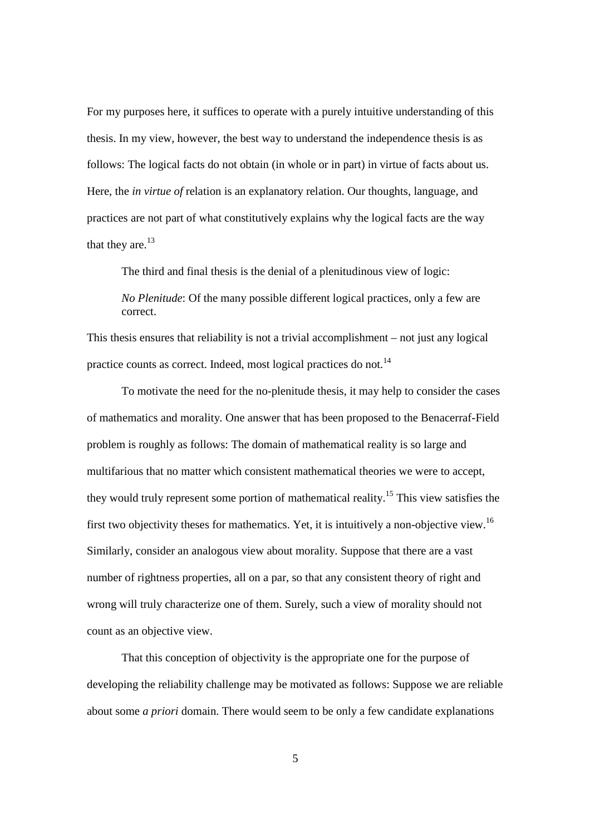For my purposes here, it suffices to operate with a purely intuitive understanding of this thesis. In my view, however, the best way to understand the independence thesis is as follows: The logical facts do not obtain (in whole or in part) in virtue of facts about us. Here, the *in virtue of* relation is an explanatory relation. Our thoughts, language, and practices are not part of what constitutively explains why the logical facts are the way that they are. $13$ 

The third and final thesis is the denial of a plenitudinous view of logic:

*No Plenitude*: Of the many possible different logical practices, only a few are correct.

This thesis ensures that reliability is not a trivial accomplishment – not just any logical practice counts as correct. Indeed, most logical practices do not.<sup>14</sup>

To motivate the need for the no-plenitude thesis, it may help to consider the cases of mathematics and morality. One answer that has been proposed to the Benacerraf-Field problem is roughly as follows: The domain of mathematical reality is so large and multifarious that no matter which consistent mathematical theories we were to accept, they would truly represent some portion of mathematical reality.<sup>15</sup> This view satisfies the first two objectivity theses for mathematics. Yet, it is intuitively a non-objective view.<sup>16</sup> Similarly, consider an analogous view about morality. Suppose that there are a vast number of rightness properties, all on a par, so that any consistent theory of right and wrong will truly characterize one of them. Surely, such a view of morality should not count as an objective view.

That this conception of objectivity is the appropriate one for the purpose of developing the reliability challenge may be motivated as follows: Suppose we are reliable about some *a priori* domain. There would seem to be only a few candidate explanations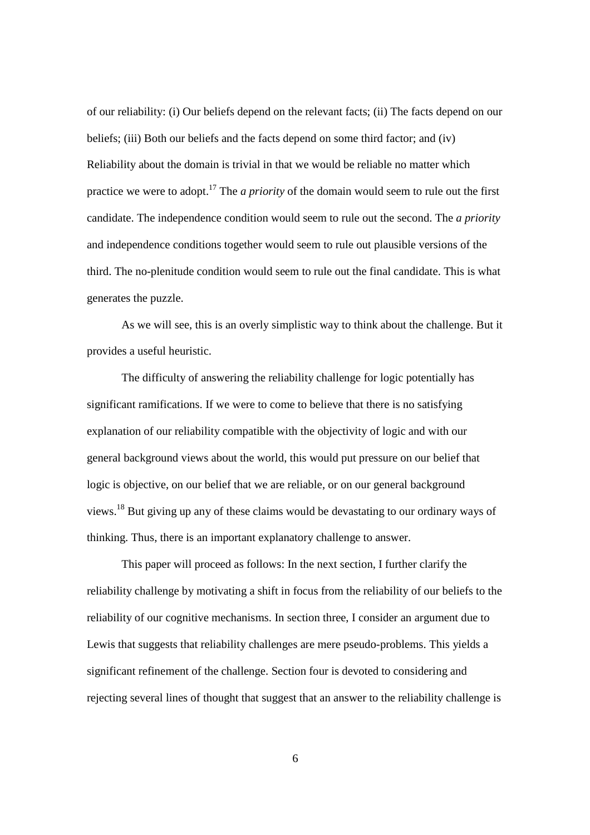of our reliability: (i) Our beliefs depend on the relevant facts; (ii) The facts depend on our beliefs; (iii) Both our beliefs and the facts depend on some third factor; and (iv) Reliability about the domain is trivial in that we would be reliable no matter which practice we were to adopt.<sup>17</sup> The *a priority* of the domain would seem to rule out the first candidate. The independence condition would seem to rule out the second. The *a priority* and independence conditions together would seem to rule out plausible versions of the third. The no-plenitude condition would seem to rule out the final candidate. This is what generates the puzzle.

As we will see, this is an overly simplistic way to think about the challenge. But it provides a useful heuristic.

The difficulty of answering the reliability challenge for logic potentially has significant ramifications. If we were to come to believe that there is no satisfying explanation of our reliability compatible with the objectivity of logic and with our general background views about the world, this would put pressure on our belief that logic is objective, on our belief that we are reliable, or on our general background views.<sup>18</sup> But giving up any of these claims would be devastating to our ordinary ways of thinking. Thus, there is an important explanatory challenge to answer.

This paper will proceed as follows: In the next section, I further clarify the reliability challenge by motivating a shift in focus from the reliability of our beliefs to the reliability of our cognitive mechanisms. In section three, I consider an argument due to Lewis that suggests that reliability challenges are mere pseudo-problems. This yields a significant refinement of the challenge. Section four is devoted to considering and rejecting several lines of thought that suggest that an answer to the reliability challenge is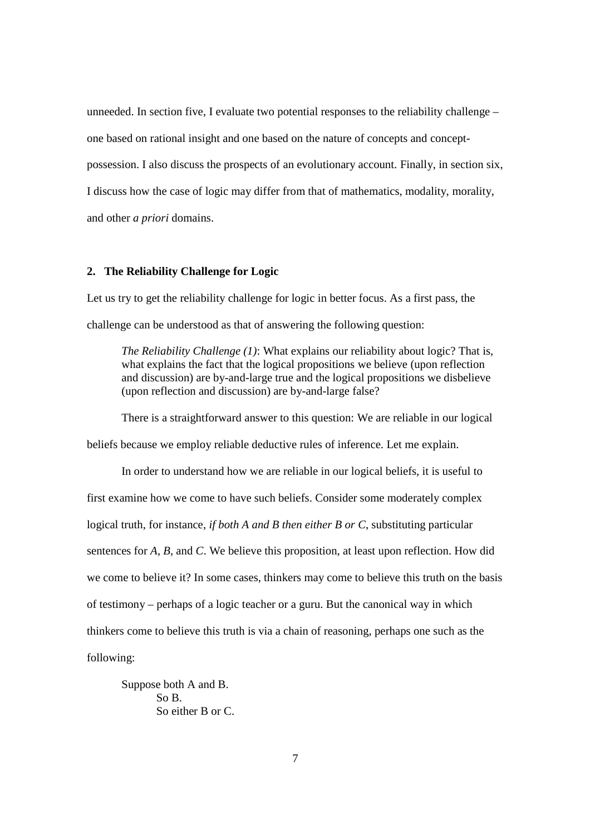unneeded. In section five, I evaluate two potential responses to the reliability challenge – one based on rational insight and one based on the nature of concepts and conceptpossession. I also discuss the prospects of an evolutionary account. Finally, in section six, I discuss how the case of logic may differ from that of mathematics, modality, morality, and other *a priori* domains.

## **2. The Reliability Challenge for Logic**

Let us try to get the reliability challenge for logic in better focus. As a first pass, the challenge can be understood as that of answering the following question:

*The Reliability Challenge (1)*: What explains our reliability about logic? That is, what explains the fact that the logical propositions we believe (upon reflection and discussion) are by-and-large true and the logical propositions we disbelieve (upon reflection and discussion) are by-and-large false?

There is a straightforward answer to this question: We are reliable in our logical

beliefs because we employ reliable deductive rules of inference. Let me explain.

In order to understand how we are reliable in our logical beliefs, it is useful to first examine how we come to have such beliefs. Consider some moderately complex logical truth, for instance, *if both A and B then either B or C*, substituting particular sentences for *A*, *B*, and *C*. We believe this proposition, at least upon reflection. How did we come to believe it? In some cases, thinkers may come to believe this truth on the basis of testimony – perhaps of a logic teacher or a guru. But the canonical way in which thinkers come to believe this truth is via a chain of reasoning, perhaps one such as the following:

 Suppose both A and B. So B. So either B or C.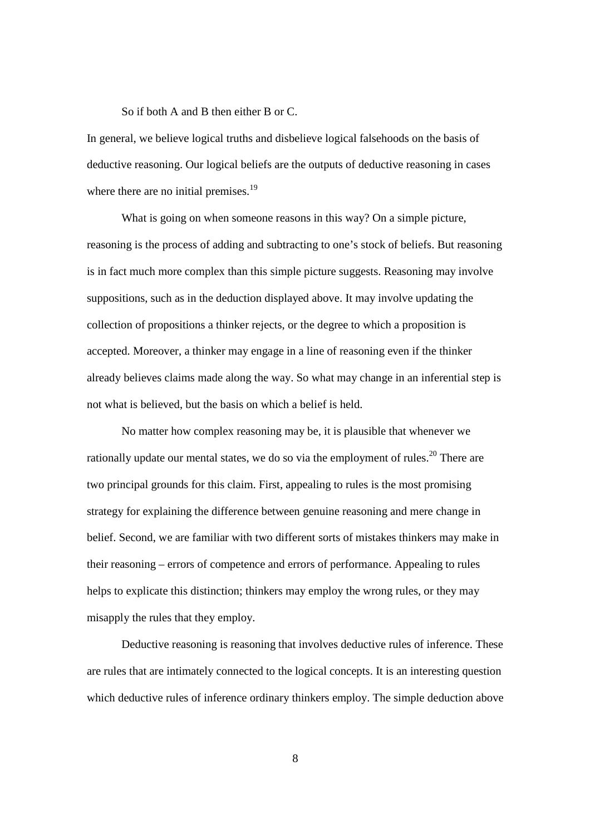So if both A and B then either B or C.

In general, we believe logical truths and disbelieve logical falsehoods on the basis of deductive reasoning. Our logical beliefs are the outputs of deductive reasoning in cases where there are no initial premises.<sup>19</sup>

What is going on when someone reasons in this way? On a simple picture, reasoning is the process of adding and subtracting to one's stock of beliefs. But reasoning is in fact much more complex than this simple picture suggests. Reasoning may involve suppositions, such as in the deduction displayed above. It may involve updating the collection of propositions a thinker rejects, or the degree to which a proposition is accepted. Moreover, a thinker may engage in a line of reasoning even if the thinker already believes claims made along the way. So what may change in an inferential step is not what is believed, but the basis on which a belief is held.

No matter how complex reasoning may be, it is plausible that whenever we rationally update our mental states, we do so via the employment of rules.<sup>20</sup> There are two principal grounds for this claim. First, appealing to rules is the most promising strategy for explaining the difference between genuine reasoning and mere change in belief. Second, we are familiar with two different sorts of mistakes thinkers may make in their reasoning – errors of competence and errors of performance. Appealing to rules helps to explicate this distinction; thinkers may employ the wrong rules, or they may misapply the rules that they employ.

Deductive reasoning is reasoning that involves deductive rules of inference. These are rules that are intimately connected to the logical concepts. It is an interesting question which deductive rules of inference ordinary thinkers employ. The simple deduction above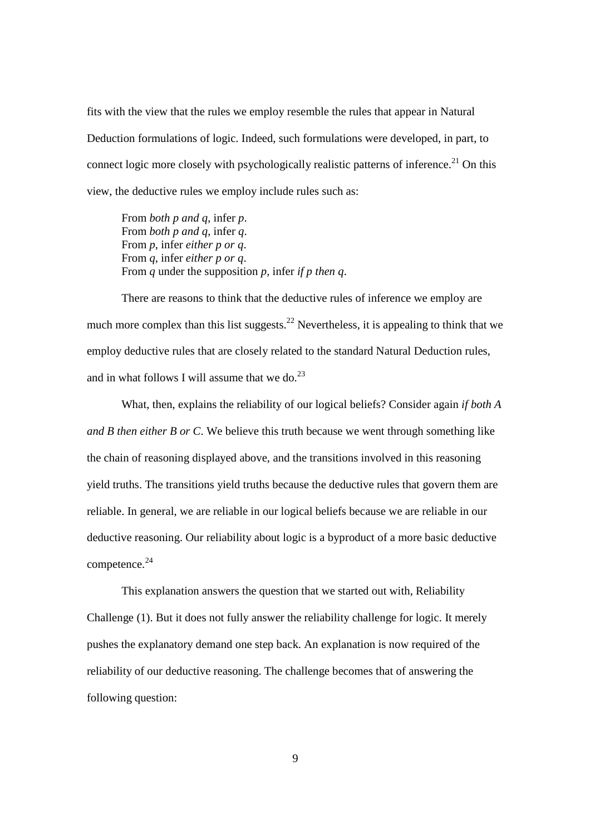fits with the view that the rules we employ resemble the rules that appear in Natural Deduction formulations of logic. Indeed, such formulations were developed, in part, to connect logic more closely with psychologically realistic patterns of inference.<sup>21</sup> On this view, the deductive rules we employ include rules such as:

 From *both p and q*, infer *p*. From *both p and q*, infer *q*. From *p*, infer *either p or q*. From *q*, infer *either p or q*. From *q* under the supposition *p*, infer *if p then q*.

There are reasons to think that the deductive rules of inference we employ are much more complex than this list suggests.<sup>22</sup> Nevertheless, it is appealing to think that we employ deductive rules that are closely related to the standard Natural Deduction rules, and in what follows I will assume that we do.<sup>23</sup>

What, then, explains the reliability of our logical beliefs? Consider again *if both A and B then either B or C*. We believe this truth because we went through something like the chain of reasoning displayed above, and the transitions involved in this reasoning yield truths. The transitions yield truths because the deductive rules that govern them are reliable. In general, we are reliable in our logical beliefs because we are reliable in our deductive reasoning. Our reliability about logic is a byproduct of a more basic deductive competence.<sup>24</sup>

This explanation answers the question that we started out with, Reliability Challenge (1). But it does not fully answer the reliability challenge for logic. It merely pushes the explanatory demand one step back. An explanation is now required of the reliability of our deductive reasoning. The challenge becomes that of answering the following question: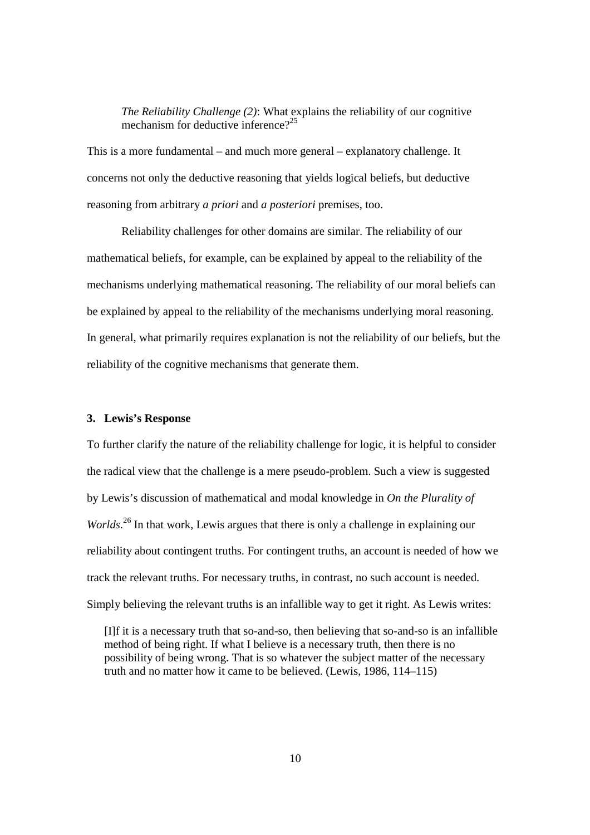*The Reliability Challenge (2)*: What explains the reliability of our cognitive mechanism for deductive inference?<sup>25</sup>

This is a more fundamental – and much more general – explanatory challenge. It concerns not only the deductive reasoning that yields logical beliefs, but deductive reasoning from arbitrary *a priori* and *a posteriori* premises, too.

Reliability challenges for other domains are similar. The reliability of our mathematical beliefs, for example, can be explained by appeal to the reliability of the mechanisms underlying mathematical reasoning. The reliability of our moral beliefs can be explained by appeal to the reliability of the mechanisms underlying moral reasoning. In general, what primarily requires explanation is not the reliability of our beliefs, but the reliability of the cognitive mechanisms that generate them.

## **3. Lewis's Response**

To further clarify the nature of the reliability challenge for logic, it is helpful to consider the radical view that the challenge is a mere pseudo-problem. Such a view is suggested by Lewis's discussion of mathematical and modal knowledge in *On the Plurality of*  Worlds.<sup>26</sup> In that work, Lewis argues that there is only a challenge in explaining our reliability about contingent truths. For contingent truths, an account is needed of how we track the relevant truths. For necessary truths, in contrast, no such account is needed. Simply believing the relevant truths is an infallible way to get it right. As Lewis writes:

[I]f it is a necessary truth that so-and-so, then believing that so-and-so is an infallible method of being right. If what I believe is a necessary truth, then there is no possibility of being wrong. That is so whatever the subject matter of the necessary truth and no matter how it came to be believed. (Lewis, 1986, 114–115)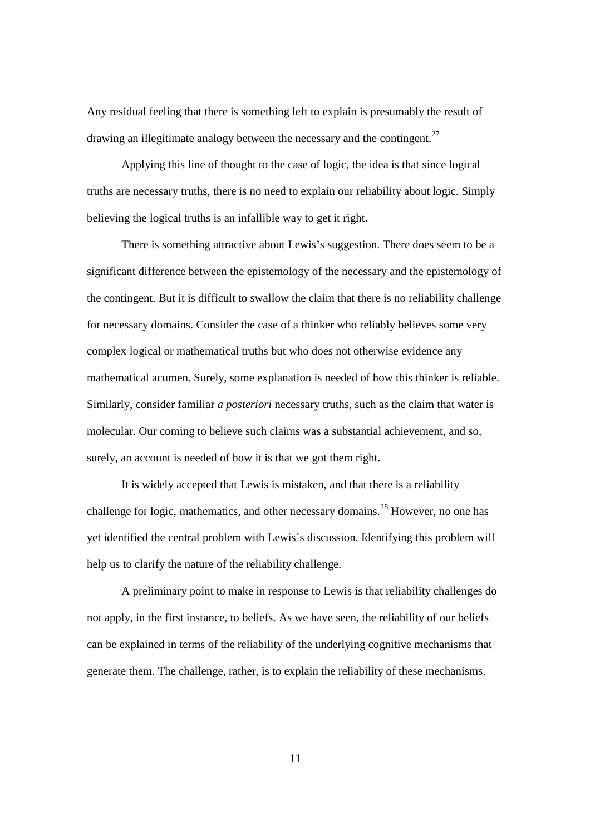Any residual feeling that there is something left to explain is presumably the result of drawing an illegitimate analogy between the necessary and the contingent.<sup>27</sup>

Applying this line of thought to the case of logic, the idea is that since logical truths are necessary truths, there is no need to explain our reliability about logic. Simply believing the logical truths is an infallible way to get it right.

There is something attractive about Lewis's suggestion. There does seem to be a significant difference between the epistemology of the necessary and the epistemology of the contingent. But it is difficult to swallow the claim that there is no reliability challenge for necessary domains. Consider the case of a thinker who reliably believes some very complex logical or mathematical truths but who does not otherwise evidence any mathematical acumen. Surely, some explanation is needed of how this thinker is reliable. Similarly, consider familiar *a posteriori* necessary truths, such as the claim that water is molecular. Our coming to believe such claims was a substantial achievement, and so, surely, an account is needed of how it is that we got them right.

It is widely accepted that Lewis is mistaken, and that there is a reliability challenge for logic, mathematics, and other necessary domains.<sup>28</sup> However, no one has yet identified the central problem with Lewis's discussion. Identifying this problem will help us to clarify the nature of the reliability challenge.

A preliminary point to make in response to Lewis is that reliability challenges do not apply, in the first instance, to beliefs. As we have seen, the reliability of our beliefs can be explained in terms of the reliability of the underlying cognitive mechanisms that generate them. The challenge, rather, is to explain the reliability of these mechanisms.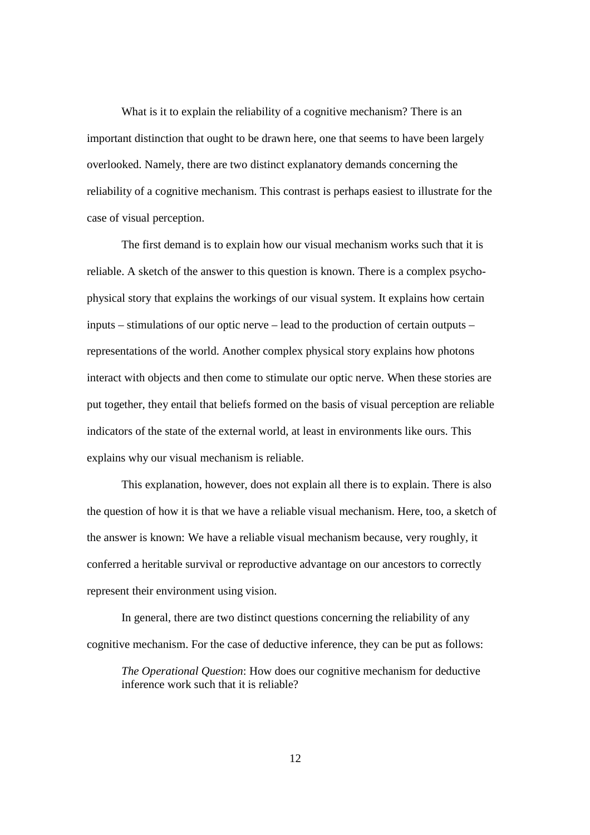What is it to explain the reliability of a cognitive mechanism? There is an important distinction that ought to be drawn here, one that seems to have been largely overlooked. Namely, there are two distinct explanatory demands concerning the reliability of a cognitive mechanism. This contrast is perhaps easiest to illustrate for the case of visual perception.

The first demand is to explain how our visual mechanism works such that it is reliable. A sketch of the answer to this question is known. There is a complex psychophysical story that explains the workings of our visual system. It explains how certain inputs – stimulations of our optic nerve – lead to the production of certain outputs – representations of the world. Another complex physical story explains how photons interact with objects and then come to stimulate our optic nerve. When these stories are put together, they entail that beliefs formed on the basis of visual perception are reliable indicators of the state of the external world, at least in environments like ours. This explains why our visual mechanism is reliable.

This explanation, however, does not explain all there is to explain. There is also the question of how it is that we have a reliable visual mechanism. Here, too, a sketch of the answer is known: We have a reliable visual mechanism because, very roughly, it conferred a heritable survival or reproductive advantage on our ancestors to correctly represent their environment using vision.

In general, there are two distinct questions concerning the reliability of any cognitive mechanism. For the case of deductive inference, they can be put as follows:

*The Operational Question*: How does our cognitive mechanism for deductive inference work such that it is reliable?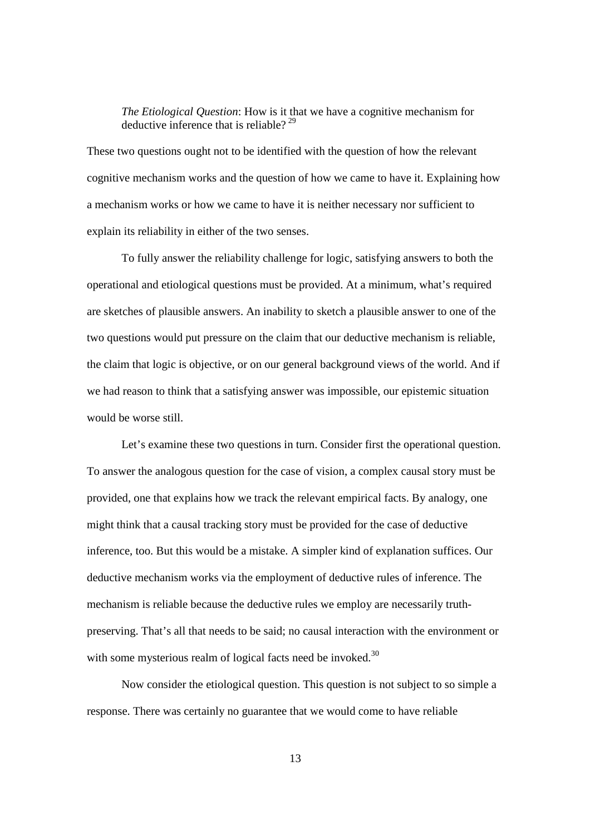*The Etiological Question*: How is it that we have a cognitive mechanism for deductive inference that is reliable?  $29$ 

These two questions ought not to be identified with the question of how the relevant cognitive mechanism works and the question of how we came to have it. Explaining how a mechanism works or how we came to have it is neither necessary nor sufficient to explain its reliability in either of the two senses.

To fully answer the reliability challenge for logic, satisfying answers to both the operational and etiological questions must be provided. At a minimum, what's required are sketches of plausible answers. An inability to sketch a plausible answer to one of the two questions would put pressure on the claim that our deductive mechanism is reliable, the claim that logic is objective, or on our general background views of the world. And if we had reason to think that a satisfying answer was impossible, our epistemic situation would be worse still.

Let's examine these two questions in turn. Consider first the operational question. To answer the analogous question for the case of vision, a complex causal story must be provided, one that explains how we track the relevant empirical facts. By analogy, one might think that a causal tracking story must be provided for the case of deductive inference, too. But this would be a mistake. A simpler kind of explanation suffices. Our deductive mechanism works via the employment of deductive rules of inference. The mechanism is reliable because the deductive rules we employ are necessarily truthpreserving. That's all that needs to be said; no causal interaction with the environment or with some mysterious realm of logical facts need be invoked.<sup>30</sup>

Now consider the etiological question. This question is not subject to so simple a response. There was certainly no guarantee that we would come to have reliable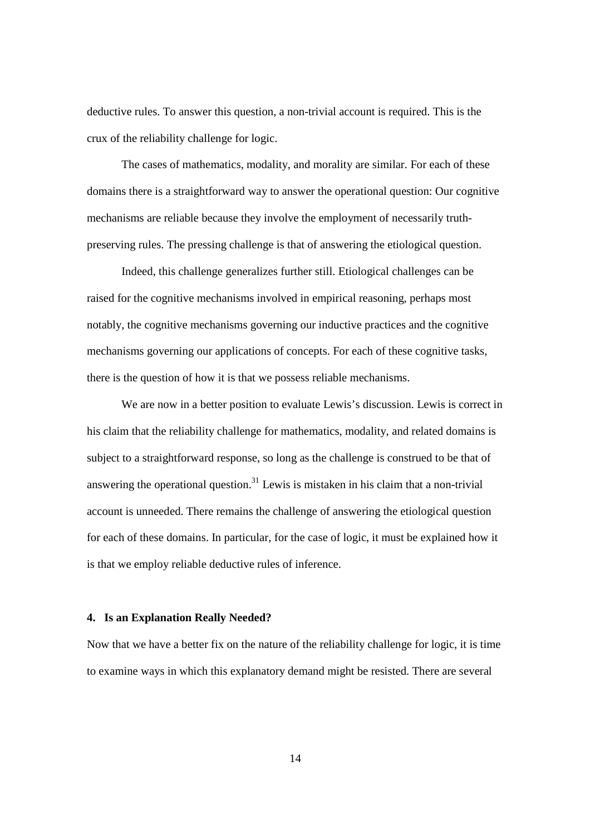deductive rules. To answer this question, a non-trivial account is required. This is the crux of the reliability challenge for logic.

The cases of mathematics, modality, and morality are similar. For each of these domains there is a straightforward way to answer the operational question: Our cognitive mechanisms are reliable because they involve the employment of necessarily truthpreserving rules. The pressing challenge is that of answering the etiological question.

Indeed, this challenge generalizes further still. Etiological challenges can be raised for the cognitive mechanisms involved in empirical reasoning, perhaps most notably, the cognitive mechanisms governing our inductive practices and the cognitive mechanisms governing our applications of concepts. For each of these cognitive tasks, there is the question of how it is that we possess reliable mechanisms.

We are now in a better position to evaluate Lewis's discussion. Lewis is correct in his claim that the reliability challenge for mathematics, modality, and related domains is subject to a straightforward response, so long as the challenge is construed to be that of answering the operational question.<sup>31</sup> Lewis is mistaken in his claim that a non-trivial account is unneeded. There remains the challenge of answering the etiological question for each of these domains. In particular, for the case of logic, it must be explained how it is that we employ reliable deductive rules of inference.

#### **4. Is an Explanation Really Needed?**

Now that we have a better fix on the nature of the reliability challenge for logic, it is time to examine ways in which this explanatory demand might be resisted. There are several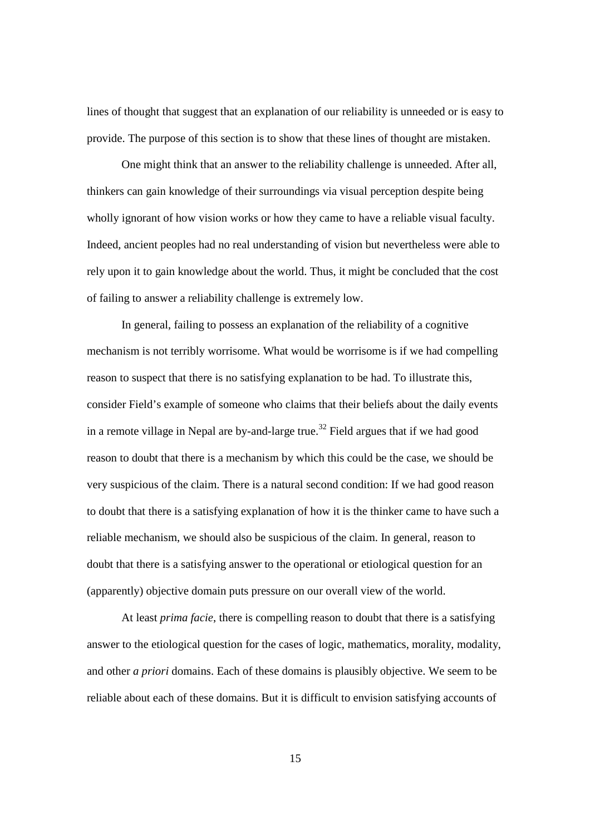lines of thought that suggest that an explanation of our reliability is unneeded or is easy to provide. The purpose of this section is to show that these lines of thought are mistaken.

One might think that an answer to the reliability challenge is unneeded. After all, thinkers can gain knowledge of their surroundings via visual perception despite being wholly ignorant of how vision works or how they came to have a reliable visual faculty. Indeed, ancient peoples had no real understanding of vision but nevertheless were able to rely upon it to gain knowledge about the world. Thus, it might be concluded that the cost of failing to answer a reliability challenge is extremely low.

In general, failing to possess an explanation of the reliability of a cognitive mechanism is not terribly worrisome. What would be worrisome is if we had compelling reason to suspect that there is no satisfying explanation to be had. To illustrate this, consider Field's example of someone who claims that their beliefs about the daily events in a remote village in Nepal are by-and-large true.<sup>32</sup> Field argues that if we had good reason to doubt that there is a mechanism by which this could be the case, we should be very suspicious of the claim. There is a natural second condition: If we had good reason to doubt that there is a satisfying explanation of how it is the thinker came to have such a reliable mechanism, we should also be suspicious of the claim. In general, reason to doubt that there is a satisfying answer to the operational or etiological question for an (apparently) objective domain puts pressure on our overall view of the world.

At least *prima facie*, there is compelling reason to doubt that there is a satisfying answer to the etiological question for the cases of logic, mathematics, morality, modality, and other *a priori* domains. Each of these domains is plausibly objective. We seem to be reliable about each of these domains. But it is difficult to envision satisfying accounts of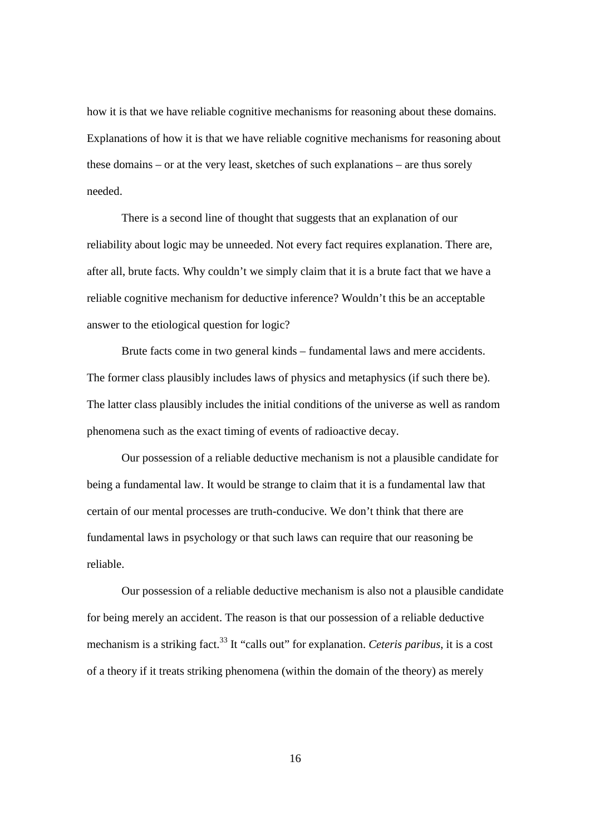how it is that we have reliable cognitive mechanisms for reasoning about these domains. Explanations of how it is that we have reliable cognitive mechanisms for reasoning about these domains – or at the very least, sketches of such explanations – are thus sorely needed.

There is a second line of thought that suggests that an explanation of our reliability about logic may be unneeded. Not every fact requires explanation. There are, after all, brute facts. Why couldn't we simply claim that it is a brute fact that we have a reliable cognitive mechanism for deductive inference? Wouldn't this be an acceptable answer to the etiological question for logic?

Brute facts come in two general kinds – fundamental laws and mere accidents. The former class plausibly includes laws of physics and metaphysics (if such there be). The latter class plausibly includes the initial conditions of the universe as well as random phenomena such as the exact timing of events of radioactive decay.

Our possession of a reliable deductive mechanism is not a plausible candidate for being a fundamental law. It would be strange to claim that it is a fundamental law that certain of our mental processes are truth-conducive. We don't think that there are fundamental laws in psychology or that such laws can require that our reasoning be reliable.

Our possession of a reliable deductive mechanism is also not a plausible candidate for being merely an accident. The reason is that our possession of a reliable deductive mechanism is a striking fact.<sup>33</sup> It "calls out" for explanation. *Ceteris paribus*, it is a cost of a theory if it treats striking phenomena (within the domain of the theory) as merely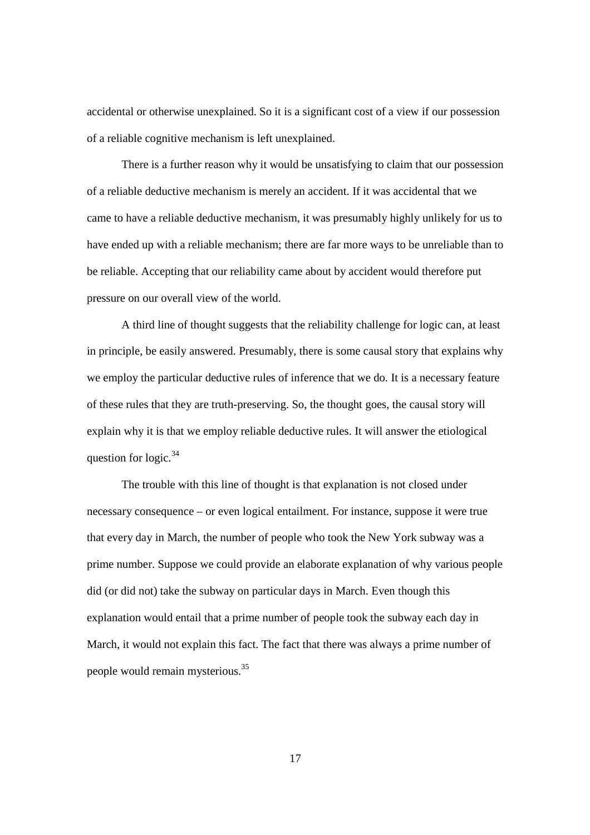accidental or otherwise unexplained. So it is a significant cost of a view if our possession of a reliable cognitive mechanism is left unexplained.

There is a further reason why it would be unsatisfying to claim that our possession of a reliable deductive mechanism is merely an accident. If it was accidental that we came to have a reliable deductive mechanism, it was presumably highly unlikely for us to have ended up with a reliable mechanism; there are far more ways to be unreliable than to be reliable. Accepting that our reliability came about by accident would therefore put pressure on our overall view of the world.

A third line of thought suggests that the reliability challenge for logic can, at least in principle, be easily answered. Presumably, there is some causal story that explains why we employ the particular deductive rules of inference that we do. It is a necessary feature of these rules that they are truth-preserving. So, the thought goes, the causal story will explain why it is that we employ reliable deductive rules. It will answer the etiological question for logic.<sup>34</sup>

The trouble with this line of thought is that explanation is not closed under necessary consequence – or even logical entailment. For instance, suppose it were true that every day in March, the number of people who took the New York subway was a prime number. Suppose we could provide an elaborate explanation of why various people did (or did not) take the subway on particular days in March. Even though this explanation would entail that a prime number of people took the subway each day in March, it would not explain this fact. The fact that there was always a prime number of people would remain mysterious.<sup>35</sup>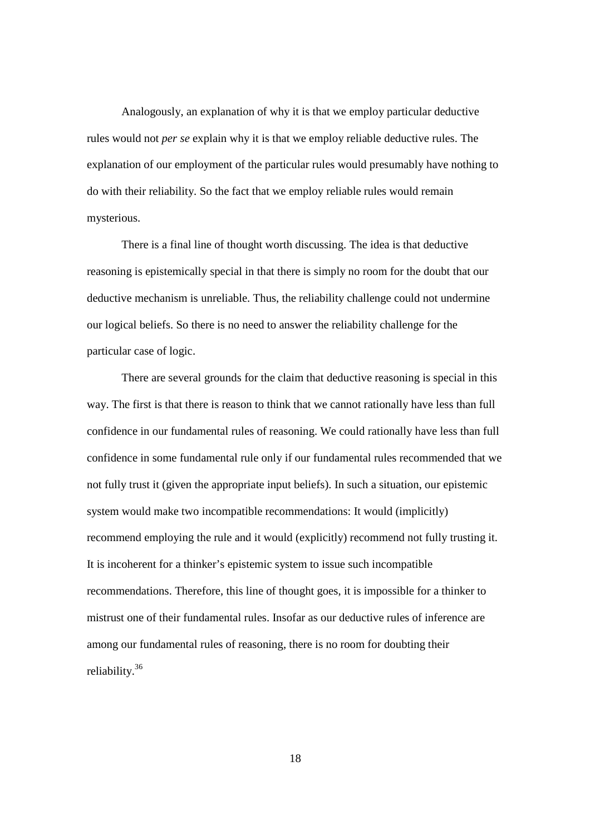Analogously, an explanation of why it is that we employ particular deductive rules would not *per se* explain why it is that we employ reliable deductive rules. The explanation of our employment of the particular rules would presumably have nothing to do with their reliability. So the fact that we employ reliable rules would remain mysterious.

There is a final line of thought worth discussing. The idea is that deductive reasoning is epistemically special in that there is simply no room for the doubt that our deductive mechanism is unreliable. Thus, the reliability challenge could not undermine our logical beliefs. So there is no need to answer the reliability challenge for the particular case of logic.

There are several grounds for the claim that deductive reasoning is special in this way. The first is that there is reason to think that we cannot rationally have less than full confidence in our fundamental rules of reasoning. We could rationally have less than full confidence in some fundamental rule only if our fundamental rules recommended that we not fully trust it (given the appropriate input beliefs). In such a situation, our epistemic system would make two incompatible recommendations: It would (implicitly) recommend employing the rule and it would (explicitly) recommend not fully trusting it. It is incoherent for a thinker's epistemic system to issue such incompatible recommendations. Therefore, this line of thought goes, it is impossible for a thinker to mistrust one of their fundamental rules. Insofar as our deductive rules of inference are among our fundamental rules of reasoning, there is no room for doubting their reliability.<sup>36</sup>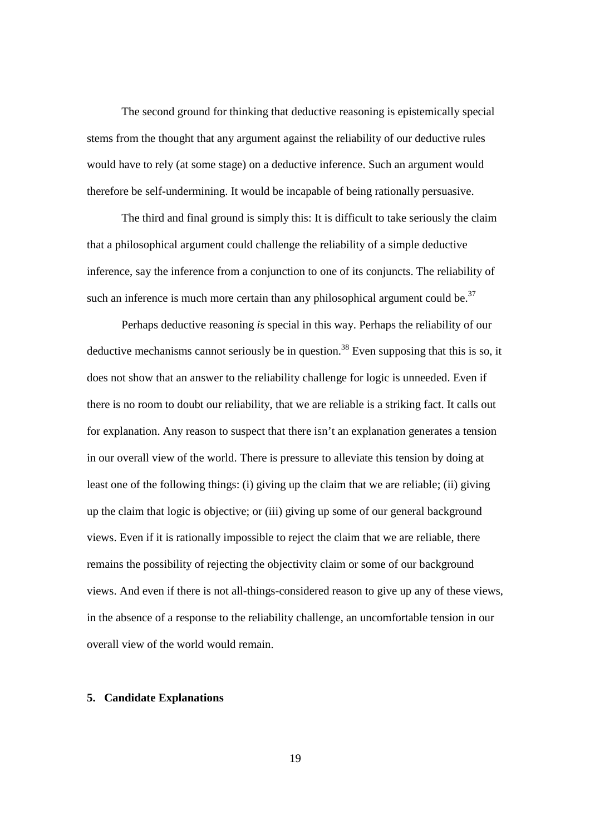The second ground for thinking that deductive reasoning is epistemically special stems from the thought that any argument against the reliability of our deductive rules would have to rely (at some stage) on a deductive inference. Such an argument would therefore be self-undermining. It would be incapable of being rationally persuasive.

The third and final ground is simply this: It is difficult to take seriously the claim that a philosophical argument could challenge the reliability of a simple deductive inference, say the inference from a conjunction to one of its conjuncts. The reliability of such an inference is much more certain than any philosophical argument could be.<sup>37</sup>

Perhaps deductive reasoning *is* special in this way. Perhaps the reliability of our deductive mechanisms cannot seriously be in question.<sup>38</sup> Even supposing that this is so, it does not show that an answer to the reliability challenge for logic is unneeded. Even if there is no room to doubt our reliability, that we are reliable is a striking fact. It calls out for explanation. Any reason to suspect that there isn't an explanation generates a tension in our overall view of the world. There is pressure to alleviate this tension by doing at least one of the following things: (i) giving up the claim that we are reliable; (ii) giving up the claim that logic is objective; or (iii) giving up some of our general background views. Even if it is rationally impossible to reject the claim that we are reliable, there remains the possibility of rejecting the objectivity claim or some of our background views. And even if there is not all-things-considered reason to give up any of these views, in the absence of a response to the reliability challenge, an uncomfortable tension in our overall view of the world would remain.

#### **5. Candidate Explanations**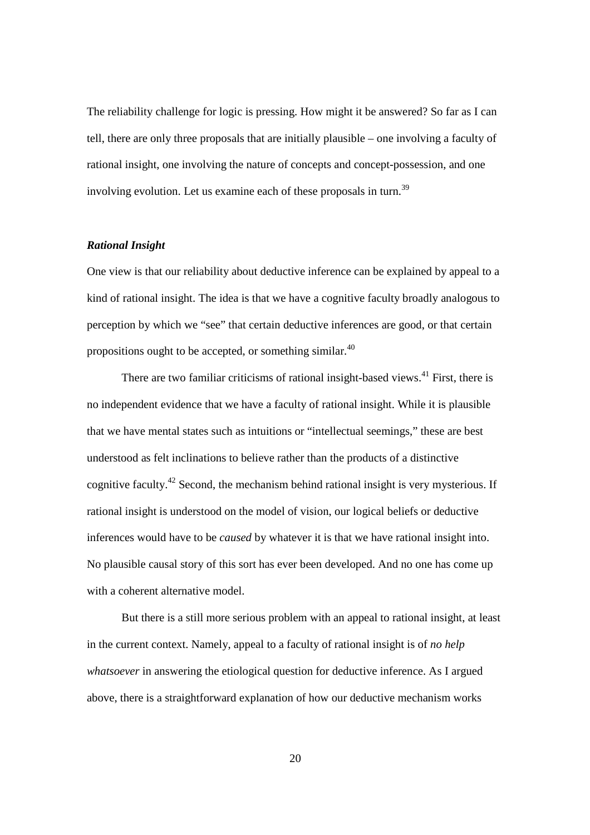The reliability challenge for logic is pressing. How might it be answered? So far as I can tell, there are only three proposals that are initially plausible – one involving a faculty of rational insight, one involving the nature of concepts and concept-possession, and one involving evolution. Let us examine each of these proposals in turn.<sup>39</sup>

# *Rational Insight*

One view is that our reliability about deductive inference can be explained by appeal to a kind of rational insight. The idea is that we have a cognitive faculty broadly analogous to perception by which we "see" that certain deductive inferences are good, or that certain propositions ought to be accepted, or something similar.<sup>40</sup>

There are two familiar criticisms of rational insight-based views.<sup>41</sup> First, there is no independent evidence that we have a faculty of rational insight. While it is plausible that we have mental states such as intuitions or "intellectual seemings," these are best understood as felt inclinations to believe rather than the products of a distinctive cognitive faculty.<sup>42</sup> Second, the mechanism behind rational insight is very mysterious. If rational insight is understood on the model of vision, our logical beliefs or deductive inferences would have to be *caused* by whatever it is that we have rational insight into. No plausible causal story of this sort has ever been developed. And no one has come up with a coherent alternative model.

But there is a still more serious problem with an appeal to rational insight, at least in the current context. Namely, appeal to a faculty of rational insight is of *no help whatsoever* in answering the etiological question for deductive inference. As I argued above, there is a straightforward explanation of how our deductive mechanism works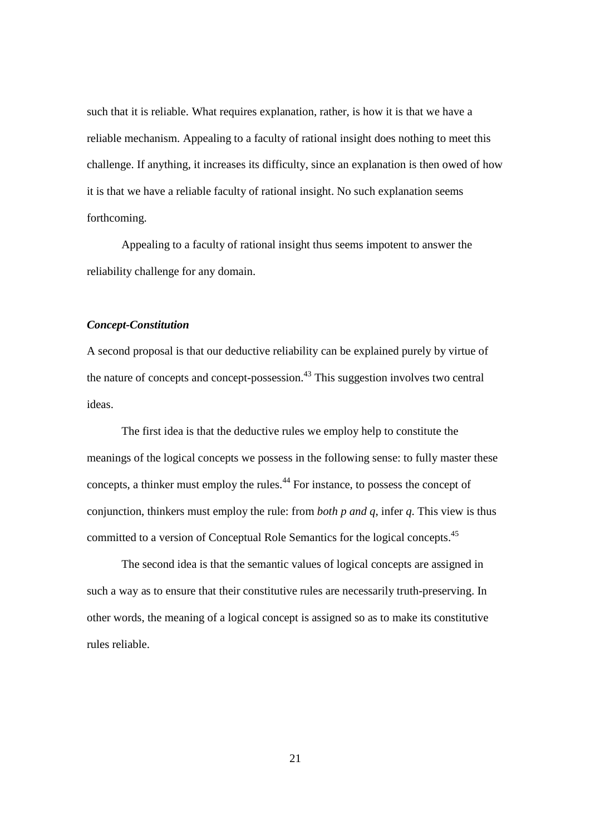such that it is reliable. What requires explanation, rather, is how it is that we have a reliable mechanism. Appealing to a faculty of rational insight does nothing to meet this challenge. If anything, it increases its difficulty, since an explanation is then owed of how it is that we have a reliable faculty of rational insight. No such explanation seems forthcoming.

Appealing to a faculty of rational insight thus seems impotent to answer the reliability challenge for any domain.

## *Concept-Constitution*

A second proposal is that our deductive reliability can be explained purely by virtue of the nature of concepts and concept-possession.<sup>43</sup> This suggestion involves two central ideas.

The first idea is that the deductive rules we employ help to constitute the meanings of the logical concepts we possess in the following sense: to fully master these concepts, a thinker must employ the rules.<sup>44</sup> For instance, to possess the concept of conjunction, thinkers must employ the rule: from *both p and q*, infer *q*. This view is thus committed to a version of Conceptual Role Semantics for the logical concepts.<sup>45</sup>

The second idea is that the semantic values of logical concepts are assigned in such a way as to ensure that their constitutive rules are necessarily truth-preserving. In other words, the meaning of a logical concept is assigned so as to make its constitutive rules reliable.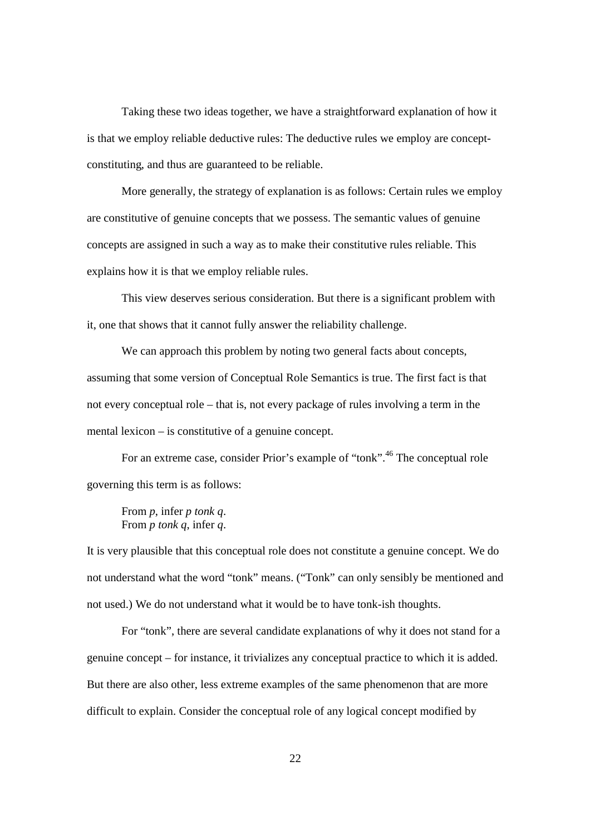Taking these two ideas together, we have a straightforward explanation of how it is that we employ reliable deductive rules: The deductive rules we employ are conceptconstituting, and thus are guaranteed to be reliable.

More generally, the strategy of explanation is as follows: Certain rules we employ are constitutive of genuine concepts that we possess. The semantic values of genuine concepts are assigned in such a way as to make their constitutive rules reliable. This explains how it is that we employ reliable rules.

This view deserves serious consideration. But there is a significant problem with it, one that shows that it cannot fully answer the reliability challenge.

We can approach this problem by noting two general facts about concepts, assuming that some version of Conceptual Role Semantics is true. The first fact is that not every conceptual role – that is, not every package of rules involving a term in the mental lexicon – is constitutive of a genuine concept.

For an extreme case, consider Prior's example of "tonk".<sup>46</sup> The conceptual role governing this term is as follows:

From *p*, infer *p tonk q*. From *p tonk q*, infer *q*.

It is very plausible that this conceptual role does not constitute a genuine concept. We do not understand what the word "tonk" means. ("Tonk" can only sensibly be mentioned and not used.) We do not understand what it would be to have tonk-ish thoughts.

For "tonk", there are several candidate explanations of why it does not stand for a genuine concept – for instance, it trivializes any conceptual practice to which it is added. But there are also other, less extreme examples of the same phenomenon that are more difficult to explain. Consider the conceptual role of any logical concept modified by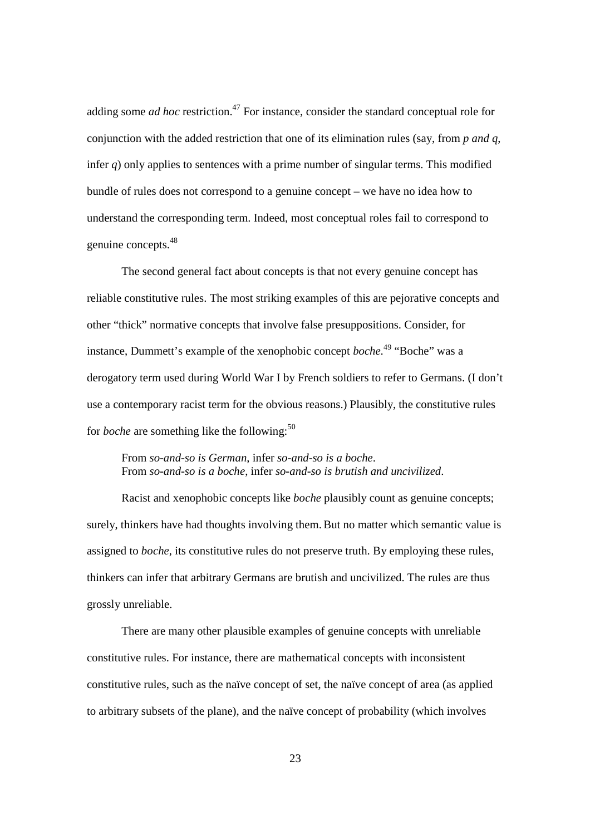adding some *ad hoc* restriction.<sup>47</sup> For instance, consider the standard conceptual role for conjunction with the added restriction that one of its elimination rules (say, from *p and q*, infer *q*) only applies to sentences with a prime number of singular terms. This modified bundle of rules does not correspond to a genuine concept – we have no idea how to understand the corresponding term. Indeed, most conceptual roles fail to correspond to genuine concepts.<sup>48</sup>

The second general fact about concepts is that not every genuine concept has reliable constitutive rules. The most striking examples of this are pejorative concepts and other "thick" normative concepts that involve false presuppositions. Consider, for instance, Dummett's example of the xenophobic concept *boche*. <sup>49</sup> "Boche" was a derogatory term used during World War I by French soldiers to refer to Germans. (I don't use a contemporary racist term for the obvious reasons.) Plausibly, the constitutive rules for *boche* are something like the following:<sup>50</sup>

From *so-and-so is German*, infer *so-and-so is a boche*. From *so-and-so is a boche*, infer *so-and-so is brutish and uncivilized*.

Racist and xenophobic concepts like *boche* plausibly count as genuine concepts; surely, thinkers have had thoughts involving them. But no matter which semantic value is assigned to *boche*, its constitutive rules do not preserve truth. By employing these rules, thinkers can infer that arbitrary Germans are brutish and uncivilized. The rules are thus grossly unreliable.

There are many other plausible examples of genuine concepts with unreliable constitutive rules. For instance, there are mathematical concepts with inconsistent constitutive rules, such as the naïve concept of set, the naïve concept of area (as applied to arbitrary subsets of the plane), and the naïve concept of probability (which involves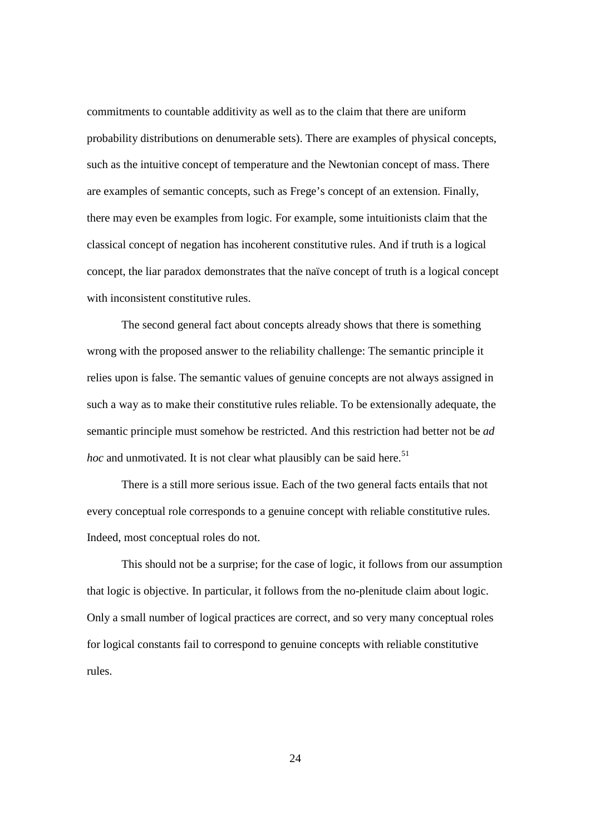commitments to countable additivity as well as to the claim that there are uniform probability distributions on denumerable sets). There are examples of physical concepts, such as the intuitive concept of temperature and the Newtonian concept of mass. There are examples of semantic concepts, such as Frege's concept of an extension. Finally, there may even be examples from logic. For example, some intuitionists claim that the classical concept of negation has incoherent constitutive rules. And if truth is a logical concept, the liar paradox demonstrates that the naïve concept of truth is a logical concept with inconsistent constitutive rules.

 The second general fact about concepts already shows that there is something wrong with the proposed answer to the reliability challenge: The semantic principle it relies upon is false. The semantic values of genuine concepts are not always assigned in such a way as to make their constitutive rules reliable. To be extensionally adequate, the semantic principle must somehow be restricted. And this restriction had better not be *ad hoc* and unmotivated. It is not clear what plausibly can be said here.<sup>51</sup>

There is a still more serious issue. Each of the two general facts entails that not every conceptual role corresponds to a genuine concept with reliable constitutive rules. Indeed, most conceptual roles do not.

This should not be a surprise; for the case of logic, it follows from our assumption that logic is objective. In particular, it follows from the no-plenitude claim about logic. Only a small number of logical practices are correct, and so very many conceptual roles for logical constants fail to correspond to genuine concepts with reliable constitutive rules.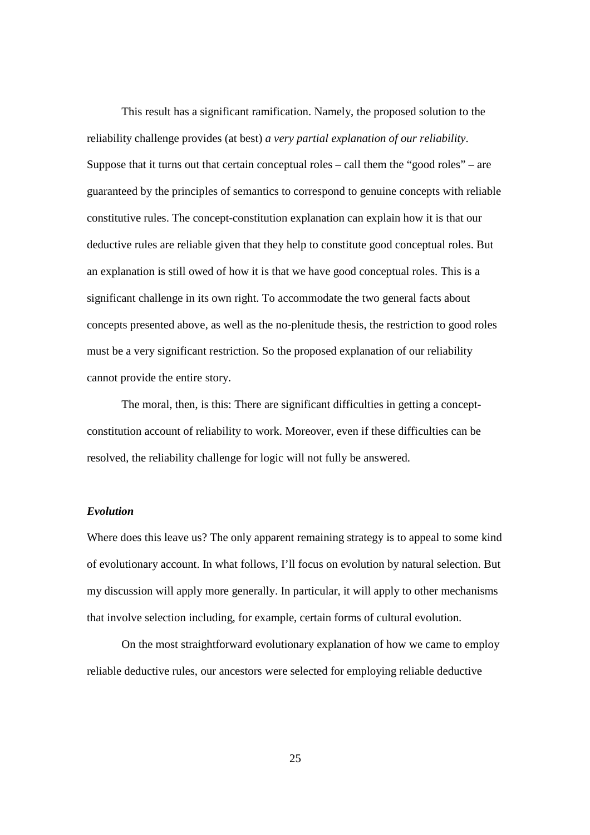This result has a significant ramification. Namely, the proposed solution to the reliability challenge provides (at best) *a very partial explanation of our reliability*. Suppose that it turns out that certain conceptual roles – call them the "good roles" – are guaranteed by the principles of semantics to correspond to genuine concepts with reliable constitutive rules. The concept-constitution explanation can explain how it is that our deductive rules are reliable given that they help to constitute good conceptual roles. But an explanation is still owed of how it is that we have good conceptual roles. This is a significant challenge in its own right. To accommodate the two general facts about concepts presented above, as well as the no-plenitude thesis, the restriction to good roles must be a very significant restriction. So the proposed explanation of our reliability cannot provide the entire story.

The moral, then, is this: There are significant difficulties in getting a conceptconstitution account of reliability to work. Moreover, even if these difficulties can be resolved, the reliability challenge for logic will not fully be answered.

### *Evolution*

Where does this leave us? The only apparent remaining strategy is to appeal to some kind of evolutionary account. In what follows, I'll focus on evolution by natural selection. But my discussion will apply more generally. In particular, it will apply to other mechanisms that involve selection including, for example, certain forms of cultural evolution.

On the most straightforward evolutionary explanation of how we came to employ reliable deductive rules, our ancestors were selected for employing reliable deductive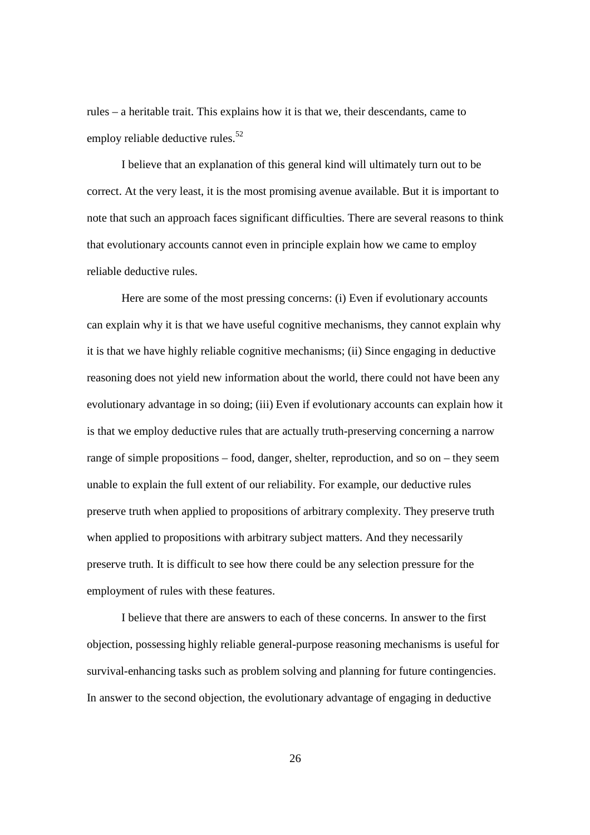rules – a heritable trait. This explains how it is that we, their descendants, came to employ reliable deductive rules.<sup>52</sup>

I believe that an explanation of this general kind will ultimately turn out to be correct. At the very least, it is the most promising avenue available. But it is important to note that such an approach faces significant difficulties. There are several reasons to think that evolutionary accounts cannot even in principle explain how we came to employ reliable deductive rules.

Here are some of the most pressing concerns: (i) Even if evolutionary accounts can explain why it is that we have useful cognitive mechanisms, they cannot explain why it is that we have highly reliable cognitive mechanisms; (ii) Since engaging in deductive reasoning does not yield new information about the world, there could not have been any evolutionary advantage in so doing; (iii) Even if evolutionary accounts can explain how it is that we employ deductive rules that are actually truth-preserving concerning a narrow range of simple propositions – food, danger, shelter, reproduction, and so on – they seem unable to explain the full extent of our reliability. For example, our deductive rules preserve truth when applied to propositions of arbitrary complexity. They preserve truth when applied to propositions with arbitrary subject matters. And they necessarily preserve truth. It is difficult to see how there could be any selection pressure for the employment of rules with these features.

I believe that there are answers to each of these concerns. In answer to the first objection, possessing highly reliable general-purpose reasoning mechanisms is useful for survival-enhancing tasks such as problem solving and planning for future contingencies. In answer to the second objection, the evolutionary advantage of engaging in deductive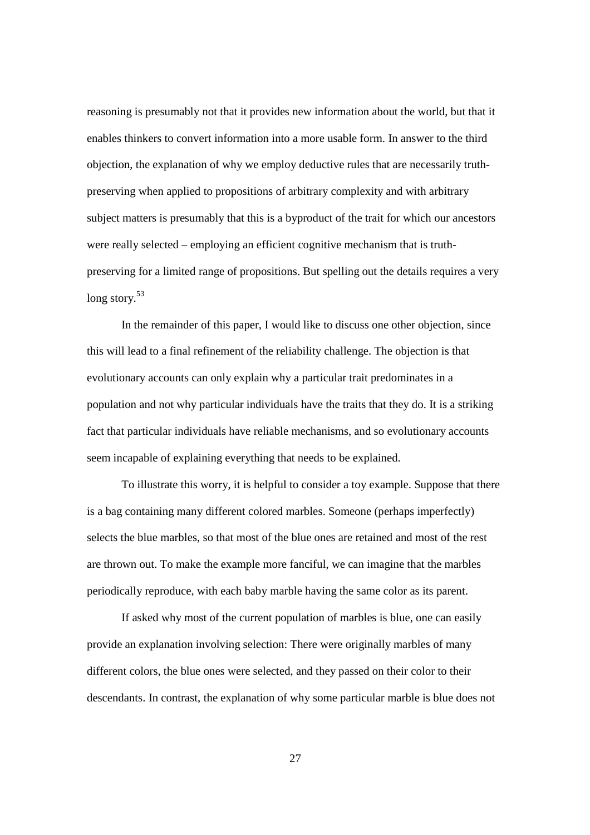reasoning is presumably not that it provides new information about the world, but that it enables thinkers to convert information into a more usable form. In answer to the third objection, the explanation of why we employ deductive rules that are necessarily truthpreserving when applied to propositions of arbitrary complexity and with arbitrary subject matters is presumably that this is a byproduct of the trait for which our ancestors were really selected – employing an efficient cognitive mechanism that is truthpreserving for a limited range of propositions. But spelling out the details requires a very long story.<sup>53</sup>

In the remainder of this paper, I would like to discuss one other objection, since this will lead to a final refinement of the reliability challenge. The objection is that evolutionary accounts can only explain why a particular trait predominates in a population and not why particular individuals have the traits that they do. It is a striking fact that particular individuals have reliable mechanisms, and so evolutionary accounts seem incapable of explaining everything that needs to be explained.

To illustrate this worry, it is helpful to consider a toy example. Suppose that there is a bag containing many different colored marbles. Someone (perhaps imperfectly) selects the blue marbles, so that most of the blue ones are retained and most of the rest are thrown out. To make the example more fanciful, we can imagine that the marbles periodically reproduce, with each baby marble having the same color as its parent.

If asked why most of the current population of marbles is blue, one can easily provide an explanation involving selection: There were originally marbles of many different colors, the blue ones were selected, and they passed on their color to their descendants. In contrast, the explanation of why some particular marble is blue does not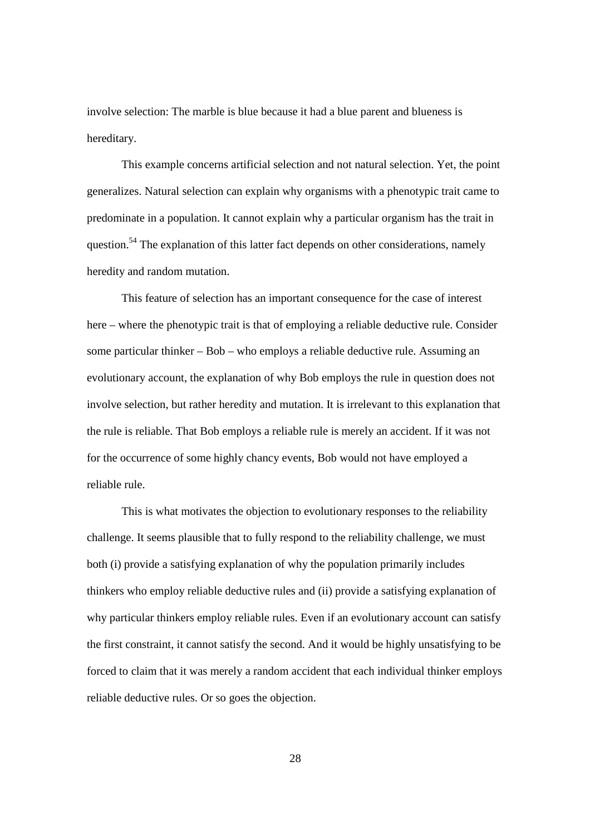involve selection: The marble is blue because it had a blue parent and blueness is hereditary.

This example concerns artificial selection and not natural selection. Yet, the point generalizes. Natural selection can explain why organisms with a phenotypic trait came to predominate in a population. It cannot explain why a particular organism has the trait in question.<sup>54</sup> The explanation of this latter fact depends on other considerations, namely heredity and random mutation.

This feature of selection has an important consequence for the case of interest here – where the phenotypic trait is that of employing a reliable deductive rule. Consider some particular thinker – Bob – who employs a reliable deductive rule. Assuming an evolutionary account, the explanation of why Bob employs the rule in question does not involve selection, but rather heredity and mutation. It is irrelevant to this explanation that the rule is reliable. That Bob employs a reliable rule is merely an accident. If it was not for the occurrence of some highly chancy events, Bob would not have employed a reliable rule.

This is what motivates the objection to evolutionary responses to the reliability challenge. It seems plausible that to fully respond to the reliability challenge, we must both (i) provide a satisfying explanation of why the population primarily includes thinkers who employ reliable deductive rules and (ii) provide a satisfying explanation of why particular thinkers employ reliable rules. Even if an evolutionary account can satisfy the first constraint, it cannot satisfy the second. And it would be highly unsatisfying to be forced to claim that it was merely a random accident that each individual thinker employs reliable deductive rules. Or so goes the objection.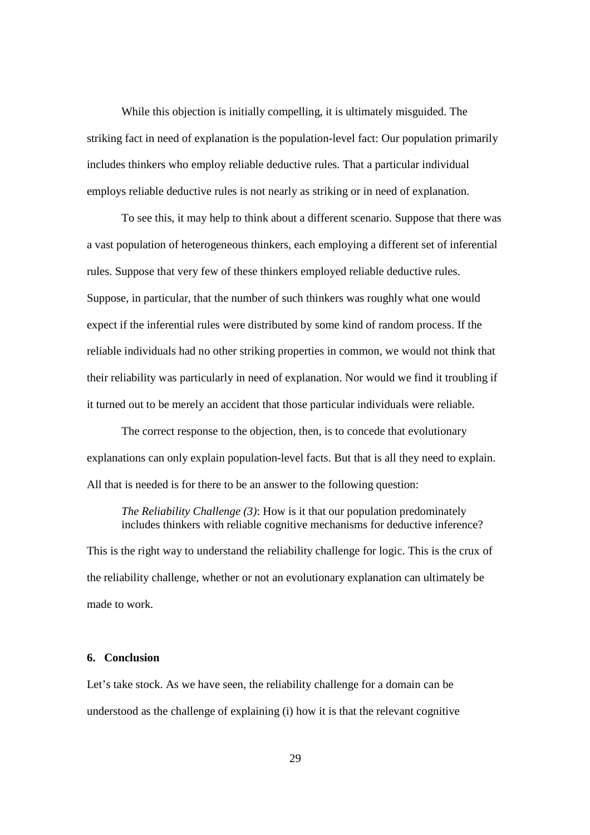While this objection is initially compelling, it is ultimately misguided. The striking fact in need of explanation is the population-level fact: Our population primarily includes thinkers who employ reliable deductive rules. That a particular individual employs reliable deductive rules is not nearly as striking or in need of explanation.

To see this, it may help to think about a different scenario. Suppose that there was a vast population of heterogeneous thinkers, each employing a different set of inferential rules. Suppose that very few of these thinkers employed reliable deductive rules. Suppose, in particular, that the number of such thinkers was roughly what one would expect if the inferential rules were distributed by some kind of random process. If the reliable individuals had no other striking properties in common, we would not think that their reliability was particularly in need of explanation. Nor would we find it troubling if it turned out to be merely an accident that those particular individuals were reliable.

The correct response to the objection, then, is to concede that evolutionary explanations can only explain population-level facts. But that is all they need to explain. All that is needed is for there to be an answer to the following question:

# *The Reliability Challenge (3)*: How is it that our population predominately includes thinkers with reliable cognitive mechanisms for deductive inference?

This is the right way to understand the reliability challenge for logic. This is the crux of the reliability challenge, whether or not an evolutionary explanation can ultimately be made to work.

#### **6. Conclusion**

Let's take stock. As we have seen, the reliability challenge for a domain can be understood as the challenge of explaining (i) how it is that the relevant cognitive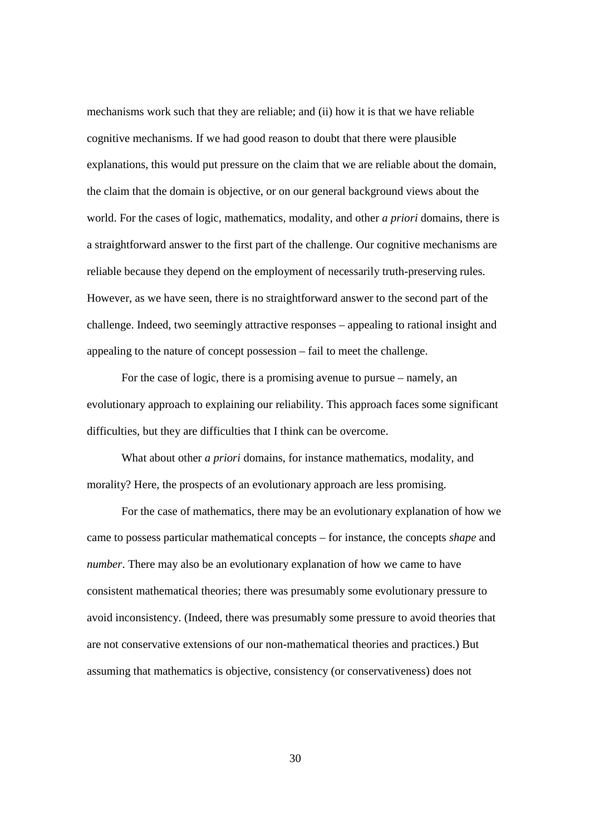mechanisms work such that they are reliable; and (ii) how it is that we have reliable cognitive mechanisms. If we had good reason to doubt that there were plausible explanations, this would put pressure on the claim that we are reliable about the domain, the claim that the domain is objective, or on our general background views about the world. For the cases of logic, mathematics, modality, and other *a priori* domains, there is a straightforward answer to the first part of the challenge. Our cognitive mechanisms are reliable because they depend on the employment of necessarily truth-preserving rules. However, as we have seen, there is no straightforward answer to the second part of the challenge. Indeed, two seemingly attractive responses – appealing to rational insight and appealing to the nature of concept possession – fail to meet the challenge.

For the case of logic, there is a promising avenue to pursue – namely, an evolutionary approach to explaining our reliability. This approach faces some significant difficulties, but they are difficulties that I think can be overcome.

What about other *a priori* domains, for instance mathematics, modality, and morality? Here, the prospects of an evolutionary approach are less promising.

For the case of mathematics, there may be an evolutionary explanation of how we came to possess particular mathematical concepts – for instance, the concepts *shape* and *number*. There may also be an evolutionary explanation of how we came to have consistent mathematical theories; there was presumably some evolutionary pressure to avoid inconsistency. (Indeed, there was presumably some pressure to avoid theories that are not conservative extensions of our non-mathematical theories and practices.) But assuming that mathematics is objective, consistency (or conservativeness) does not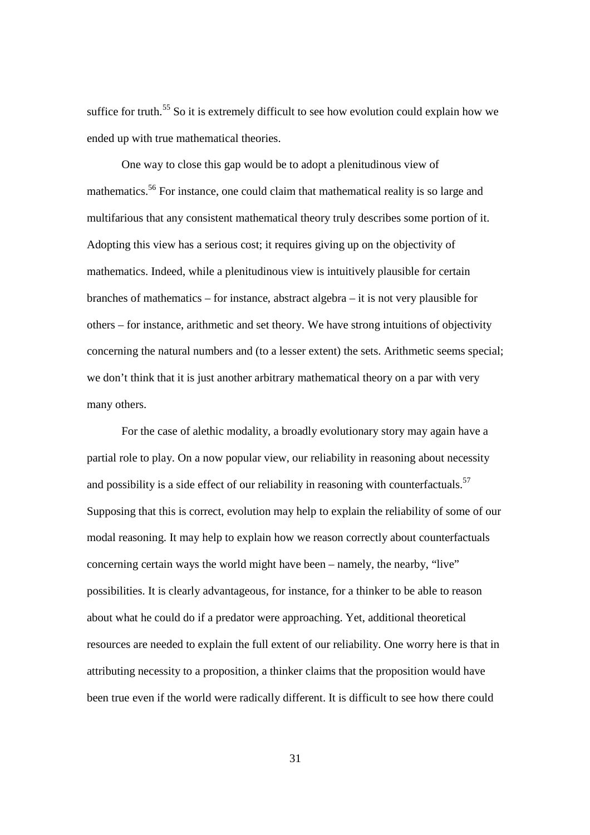suffice for truth.<sup>55</sup> So it is extremely difficult to see how evolution could explain how we ended up with true mathematical theories.

One way to close this gap would be to adopt a plenitudinous view of mathematics.<sup>56</sup> For instance, one could claim that mathematical reality is so large and multifarious that any consistent mathematical theory truly describes some portion of it. Adopting this view has a serious cost; it requires giving up on the objectivity of mathematics. Indeed, while a plenitudinous view is intuitively plausible for certain branches of mathematics – for instance, abstract algebra – it is not very plausible for others – for instance, arithmetic and set theory. We have strong intuitions of objectivity concerning the natural numbers and (to a lesser extent) the sets. Arithmetic seems special; we don't think that it is just another arbitrary mathematical theory on a par with very many others.

For the case of alethic modality, a broadly evolutionary story may again have a partial role to play. On a now popular view, our reliability in reasoning about necessity and possibility is a side effect of our reliability in reasoning with counterfactuals.<sup>57</sup> Supposing that this is correct, evolution may help to explain the reliability of some of our modal reasoning. It may help to explain how we reason correctly about counterfactuals concerning certain ways the world might have been – namely, the nearby, "live" possibilities. It is clearly advantageous, for instance, for a thinker to be able to reason about what he could do if a predator were approaching. Yet, additional theoretical resources are needed to explain the full extent of our reliability. One worry here is that in attributing necessity to a proposition, a thinker claims that the proposition would have been true even if the world were radically different. It is difficult to see how there could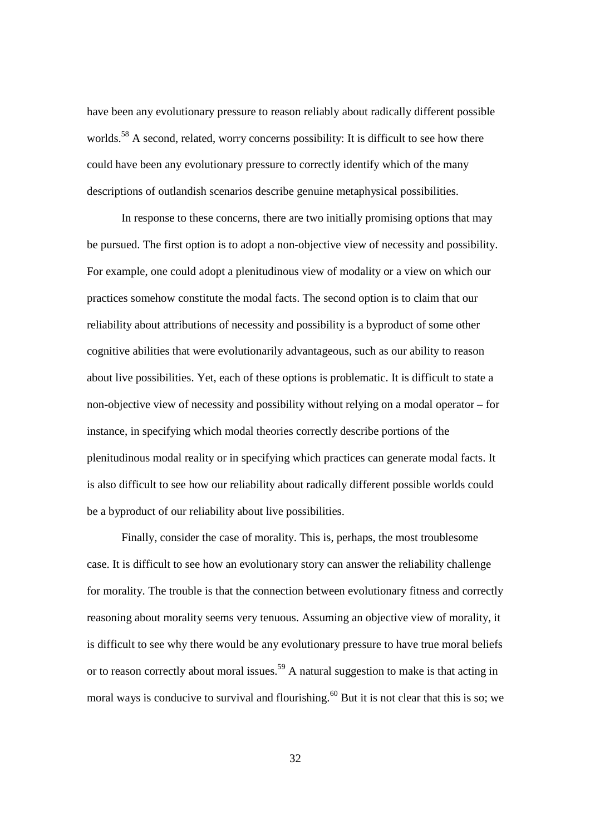have been any evolutionary pressure to reason reliably about radically different possible worlds.<sup>58</sup> A second, related, worry concerns possibility: It is difficult to see how there could have been any evolutionary pressure to correctly identify which of the many descriptions of outlandish scenarios describe genuine metaphysical possibilities.

In response to these concerns, there are two initially promising options that may be pursued. The first option is to adopt a non-objective view of necessity and possibility. For example, one could adopt a plenitudinous view of modality or a view on which our practices somehow constitute the modal facts. The second option is to claim that our reliability about attributions of necessity and possibility is a byproduct of some other cognitive abilities that were evolutionarily advantageous, such as our ability to reason about live possibilities. Yet, each of these options is problematic. It is difficult to state a non-objective view of necessity and possibility without relying on a modal operator – for instance, in specifying which modal theories correctly describe portions of the plenitudinous modal reality or in specifying which practices can generate modal facts. It is also difficult to see how our reliability about radically different possible worlds could be a byproduct of our reliability about live possibilities.

Finally, consider the case of morality. This is, perhaps, the most troublesome case. It is difficult to see how an evolutionary story can answer the reliability challenge for morality. The trouble is that the connection between evolutionary fitness and correctly reasoning about morality seems very tenuous. Assuming an objective view of morality, it is difficult to see why there would be any evolutionary pressure to have true moral beliefs or to reason correctly about moral issues.<sup>59</sup> A natural suggestion to make is that acting in moral ways is conducive to survival and flourishing.<sup>60</sup> But it is not clear that this is so; we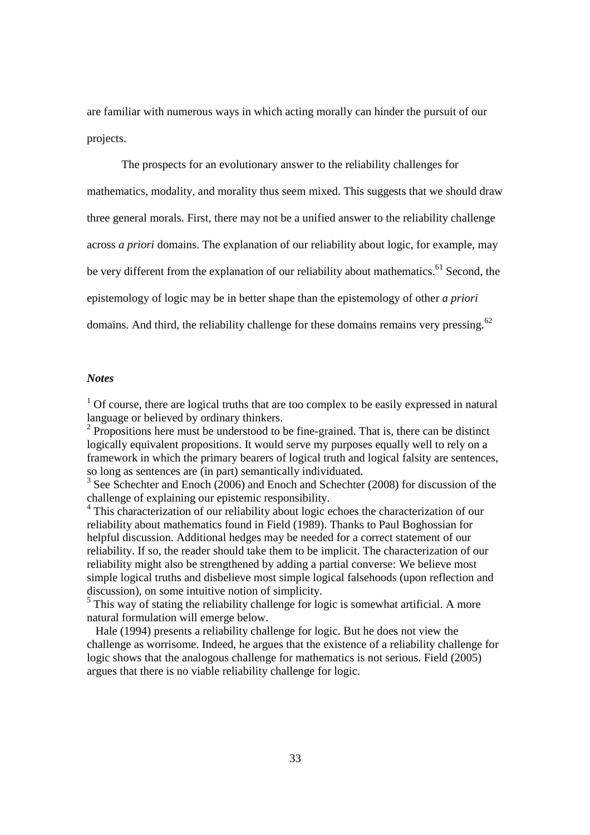are familiar with numerous ways in which acting morally can hinder the pursuit of our projects.

The prospects for an evolutionary answer to the reliability challenges for mathematics, modality, and morality thus seem mixed. This suggests that we should draw three general morals. First, there may not be a unified answer to the reliability challenge across *a priori* domains. The explanation of our reliability about logic, for example, may be very different from the explanation of our reliability about mathematics.<sup>61</sup> Second, the epistemology of logic may be in better shape than the epistemology of other *a priori*  domains. And third, the reliability challenge for these domains remains very pressing.<sup>62</sup>

#### *Notes*

 $1$  Of course, there are logical truths that are too complex to be easily expressed in natural language or believed by ordinary thinkers.

 $2$  Propositions here must be understood to be fine-grained. That is, there can be distinct logically equivalent propositions. It would serve my purposes equally well to rely on a framework in which the primary bearers of logical truth and logical falsity are sentences, so long as sentences are (in part) semantically individuated.

<sup>3</sup> See Schechter and Enoch (2006) and Enoch and Schechter (2008) for discussion of the challenge of explaining our epistemic responsibility.

<sup>4</sup> This characterization of our reliability about logic echoes the characterization of our reliability about mathematics found in Field (1989). Thanks to Paul Boghossian for helpful discussion. Additional hedges may be needed for a correct statement of our reliability. If so, the reader should take them to be implicit. The characterization of our reliability might also be strengthened by adding a partial converse: We believe most simple logical truths and disbelieve most simple logical falsehoods (upon reflection and discussion), on some intuitive notion of simplicity.

<sup>5</sup> This way of stating the reliability challenge for logic is somewhat artificial. A more natural formulation will emerge below.

 Hale (1994) presents a reliability challenge for logic. But he does not view the challenge as worrisome. Indeed, he argues that the existence of a reliability challenge for logic shows that the analogous challenge for mathematics is not serious. Field (2005) argues that there is no viable reliability challenge for logic.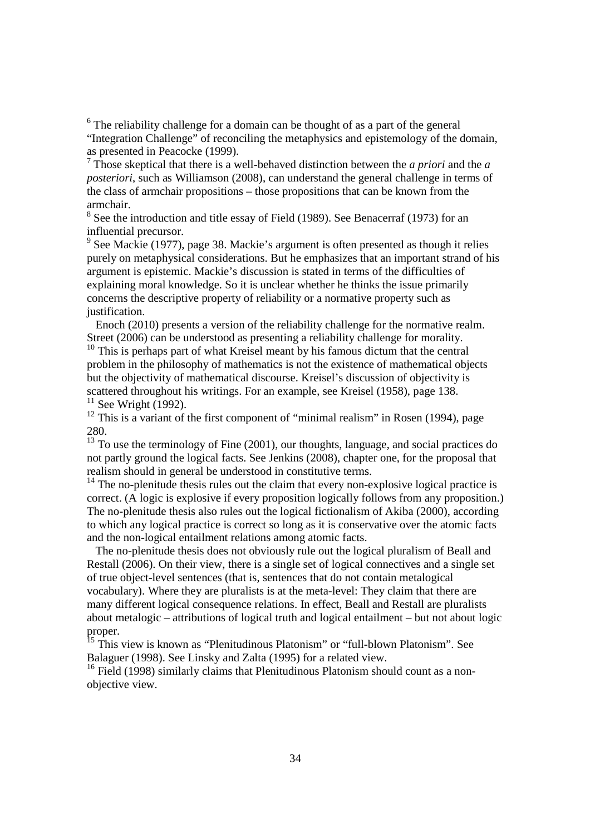$6$  The reliability challenge for a domain can be thought of as a part of the general "Integration Challenge" of reconciling the metaphysics and epistemology of the domain, as presented in Peacocke (1999).

 $\overline{7}$  Those skeptical that there is a well-behaved distinction between the *a priori* and the *a posteriori*, such as Williamson (2008), can understand the general challenge in terms of the class of armchair propositions – those propositions that can be known from the armchair.

<sup>8</sup> See the introduction and title essay of Field (1989). See Benacerraf (1973) for an influential precursor.

<sup>9</sup> See Mackie (1977), page 38. Mackie's argument is often presented as though it relies purely on metaphysical considerations. But he emphasizes that an important strand of his argument is epistemic. Mackie's discussion is stated in terms of the difficulties of explaining moral knowledge. So it is unclear whether he thinks the issue primarily concerns the descriptive property of reliability or a normative property such as justification.

 Enoch (2010) presents a version of the reliability challenge for the normative realm. Street (2006) can be understood as presenting a reliability challenge for morality.

<sup>10</sup> This is perhaps part of what Kreisel meant by his famous dictum that the central problem in the philosophy of mathematics is not the existence of mathematical objects but the objectivity of mathematical discourse. Kreisel's discussion of objectivity is scattered throughout his writings. For an example, see Kreisel (1958), page 138.  $11$  See Wright (1992).

<sup>12</sup> This is a variant of the first component of "minimal realism" in Rosen (1994), page 280.

 $13$  To use the terminology of Fine (2001), our thoughts, language, and social practices do not partly ground the logical facts. See Jenkins (2008), chapter one, for the proposal that realism should in general be understood in constitutive terms.

 $14$  The no-plenitude thesis rules out the claim that every non-explosive logical practice is correct. (A logic is explosive if every proposition logically follows from any proposition.) The no-plenitude thesis also rules out the logical fictionalism of Akiba (2000), according to which any logical practice is correct so long as it is conservative over the atomic facts and the non-logical entailment relations among atomic facts.

 The no-plenitude thesis does not obviously rule out the logical pluralism of Beall and Restall (2006). On their view, there is a single set of logical connectives and a single set of true object-level sentences (that is, sentences that do not contain metalogical vocabulary). Where they are pluralists is at the meta-level: They claim that there are many different logical consequence relations. In effect, Beall and Restall are pluralists about metalogic – attributions of logical truth and logical entailment – but not about logic proper.

<sup>15</sup> This view is known as "Plenitudinous Platonism" or "full-blown Platonism". See Balaguer (1998). See Linsky and Zalta (1995) for a related view.

<sup>16</sup> Field (1998) similarly claims that Plenitudinous Platonism should count as a nonobjective view.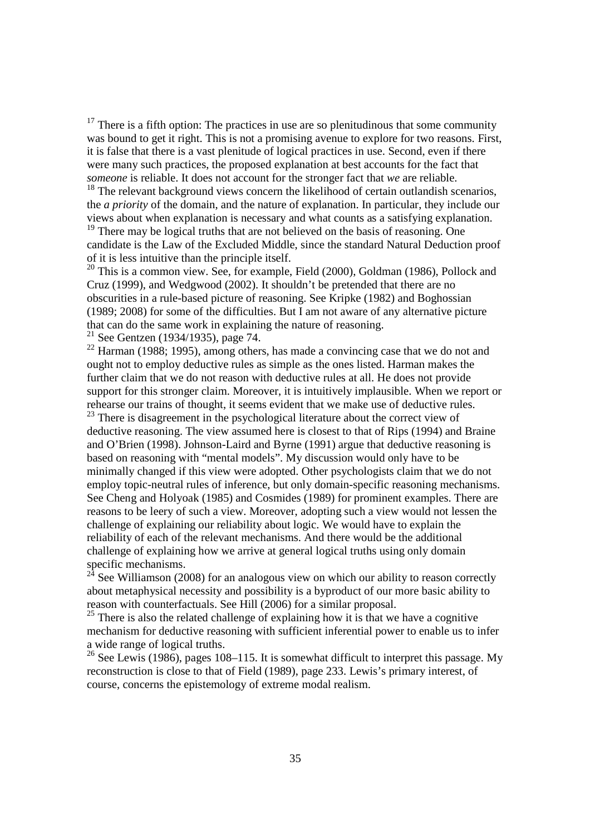$17$  There is a fifth option: The practices in use are so plenitudinous that some community was bound to get it right. This is not a promising avenue to explore for two reasons. First, it is false that there is a vast plenitude of logical practices in use. Second, even if there were many such practices, the proposed explanation at best accounts for the fact that *someone* is reliable. It does not account for the stronger fact that *we* are reliable.

 $18$  The relevant background views concern the likelihood of certain outlandish scenarios, the *a priority* of the domain, and the nature of explanation. In particular, they include our views about when explanation is necessary and what counts as a satisfying explanation. <sup>19</sup> There may be logical truths that are not believed on the basis of reasoning. One

candidate is the Law of the Excluded Middle, since the standard Natural Deduction proof of it is less intuitive than the principle itself.

<sup>20</sup> This is a common view. See, for example, Field (2000), Goldman (1986), Pollock and Cruz (1999), and Wedgwood (2002). It shouldn't be pretended that there are no obscurities in a rule-based picture of reasoning. See Kripke (1982) and Boghossian (1989; 2008) for some of the difficulties. But I am not aware of any alternative picture that can do the same work in explaining the nature of reasoning.

 $^{21}$  See Gentzen (1934/1935), page 74.

 $22$  Harman (1988; 1995), among others, has made a convincing case that we do not and ought not to employ deductive rules as simple as the ones listed. Harman makes the further claim that we do not reason with deductive rules at all. He does not provide support for this stronger claim. Moreover, it is intuitively implausible. When we report or rehearse our trains of thought, it seems evident that we make use of deductive rules. <sup>23</sup> There is disagreement in the psychological literature about the correct view of deductive reasoning. The view assumed here is closest to that of Rips (1994) and Braine and O'Brien (1998). Johnson-Laird and Byrne (1991) argue that deductive reasoning is based on reasoning with "mental models". My discussion would only have to be minimally changed if this view were adopted. Other psychologists claim that we do not employ topic-neutral rules of inference, but only domain-specific reasoning mechanisms. See Cheng and Holyoak (1985) and Cosmides (1989) for prominent examples. There are reasons to be leery of such a view. Moreover, adopting such a view would not lessen the challenge of explaining our reliability about logic. We would have to explain the reliability of each of the relevant mechanisms. And there would be the additional challenge of explaining how we arrive at general logical truths using only domain specific mechanisms.<br>
<sup>24</sup> See Will:

See Williamson (2008) for an analogous view on which our ability to reason correctly about metaphysical necessity and possibility is a byproduct of our more basic ability to reason with counterfactuals. See Hill (2006) for a similar proposal.

 $25$  There is also the related challenge of explaining how it is that we have a cognitive mechanism for deductive reasoning with sufficient inferential power to enable us to infer a wide range of logical truths.

<sup>26</sup> See Lewis (1986), pages 108–115. It is somewhat difficult to interpret this passage. My reconstruction is close to that of Field (1989), page 233. Lewis's primary interest, of course, concerns the epistemology of extreme modal realism.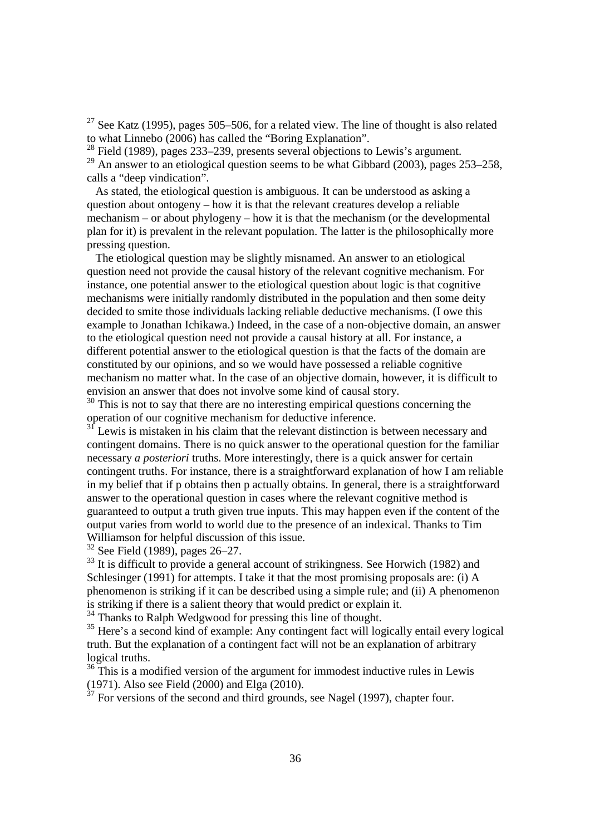<sup>27</sup> See Katz (1995), pages 505–506, for a related view. The line of thought is also related to what Linnebo (2006) has called the "Boring Explanation".

 $^{28}$  Field (1989), pages 233–239, presents several objections to Lewis's argument.

 $29$  An answer to an etiological question seems to be what Gibbard (2003), pages 253–258, calls a "deep vindication".

 As stated, the etiological question is ambiguous. It can be understood as asking a question about ontogeny – how it is that the relevant creatures develop a reliable mechanism – or about phylogeny – how it is that the mechanism (or the developmental plan for it) is prevalent in the relevant population. The latter is the philosophically more pressing question.

 The etiological question may be slightly misnamed. An answer to an etiological question need not provide the causal history of the relevant cognitive mechanism. For instance, one potential answer to the etiological question about logic is that cognitive mechanisms were initially randomly distributed in the population and then some deity decided to smite those individuals lacking reliable deductive mechanisms. (I owe this example to Jonathan Ichikawa.) Indeed, in the case of a non-objective domain, an answer to the etiological question need not provide a causal history at all. For instance, a different potential answer to the etiological question is that the facts of the domain are constituted by our opinions, and so we would have possessed a reliable cognitive mechanism no matter what. In the case of an objective domain, however, it is difficult to envision an answer that does not involve some kind of causal story.

<sup>30</sup> This is not to say that there are no interesting empirical questions concerning the operation of our cognitive mechanism for deductive inference.

<sup>31</sup> Lewis is mistaken in his claim that the relevant distinction is between necessary and contingent domains. There is no quick answer to the operational question for the familiar necessary *a posteriori* truths. More interestingly, there is a quick answer for certain contingent truths. For instance, there is a straightforward explanation of how I am reliable in my belief that if p obtains then p actually obtains. In general, there is a straightforward answer to the operational question in cases where the relevant cognitive method is guaranteed to output a truth given true inputs. This may happen even if the content of the output varies from world to world due to the presence of an indexical. Thanks to Tim Williamson for helpful discussion of this issue.

 $32$  See Field (1989), pages 26–27.

 $33$  It is difficult to provide a general account of strikingness. See Horwich (1982) and Schlesinger (1991) for attempts. I take it that the most promising proposals are: (i) A phenomenon is striking if it can be described using a simple rule; and (ii) A phenomenon is striking if there is a salient theory that would predict or explain it.

 $34$  Thanks to Ralph Wedgwood for pressing this line of thought.

<sup>35</sup> Here's a second kind of example: Any contingent fact will logically entail every logical truth. But the explanation of a contingent fact will not be an explanation of arbitrary logical truths.

 $36$ <sup>36</sup> This is a modified version of the argument for immodest inductive rules in Lewis (1971). Also see Field (2000) and Elga (2010).

 $37$  For versions of the second and third grounds, see Nagel (1997), chapter four.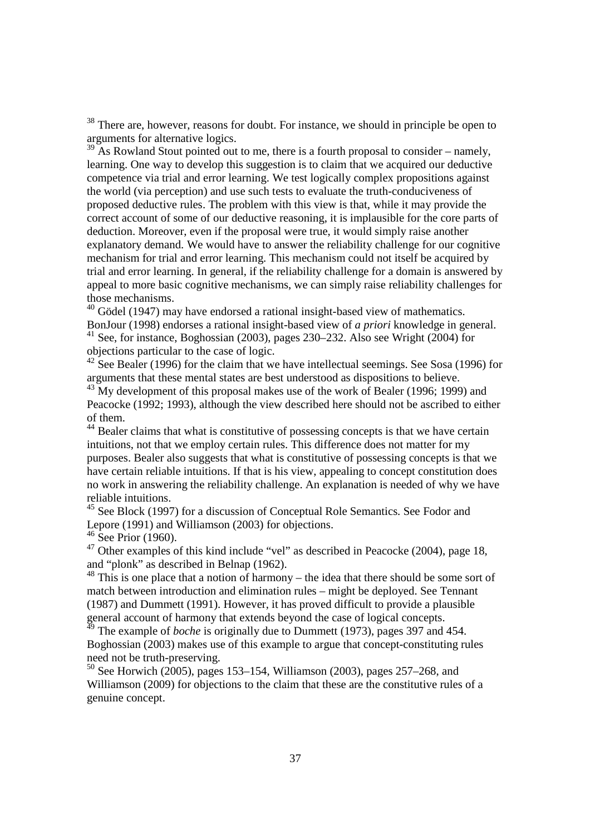<sup>38</sup> There are, however, reasons for doubt. For instance, we should in principle be open to arguments for alternative logics.

 $\frac{39}{39}$  As Rowland Stout pointed out to me, there is a fourth proposal to consider – namely, learning. One way to develop this suggestion is to claim that we acquired our deductive competence via trial and error learning. We test logically complex propositions against the world (via perception) and use such tests to evaluate the truth-conduciveness of proposed deductive rules. The problem with this view is that, while it may provide the correct account of some of our deductive reasoning, it is implausible for the core parts of deduction. Moreover, even if the proposal were true, it would simply raise another explanatory demand. We would have to answer the reliability challenge for our cognitive mechanism for trial and error learning. This mechanism could not itself be acquired by trial and error learning. In general, if the reliability challenge for a domain is answered by appeal to more basic cognitive mechanisms, we can simply raise reliability challenges for those mechanisms.

 $40$  Gödel (1947) may have endorsed a rational insight-based view of mathematics. BonJour (1998) endorses a rational insight-based view of *a priori* knowledge in general. <sup>41</sup> See, for instance, Boghossian (2003), pages 230–232. Also see Wright (2004) for

objections particular to the case of logic.

 $42$  See Bealer (1996) for the claim that we have intellectual seemings. See Sosa (1996) for arguments that these mental states are best understood as dispositions to believe.

 $^{43}$  My development of this proposal makes use of the work of Bealer (1996; 1999) and Peacocke (1992; 1993), although the view described here should not be ascribed to either of them.

<sup>44</sup> Bealer claims that what is constitutive of possessing concepts is that we have certain intuitions, not that we employ certain rules. This difference does not matter for my purposes. Bealer also suggests that what is constitutive of possessing concepts is that we have certain reliable intuitions. If that is his view, appealing to concept constitution does no work in answering the reliability challenge. An explanation is needed of why we have reliable intuitions.

<sup>45</sup> See Block (1997) for a discussion of Conceptual Role Semantics. See Fodor and Lepore (1991) and Williamson (2003) for objections.

<sup>46</sup> See Prior (1960).

<sup>47</sup> Other examples of this kind include "vel" as described in Peacocke (2004), page 18, and "plonk" as described in Belnap (1962).

 $48$  This is one place that a notion of harmony – the idea that there should be some sort of match between introduction and elimination rules – might be deployed. See Tennant (1987) and Dummett (1991). However, it has proved difficult to provide a plausible general account of harmony that extends beyond the case of logical concepts.

<sup>49</sup> The example of *boche* is originally due to Dummett (1973), pages 397 and 454. Boghossian (2003) makes use of this example to argue that concept-constituting rules need not be truth-preserving.

<sup>50</sup> See Horwich (2005), pages 153–154, Williamson (2003), pages 257–268, and Williamson (2009) for objections to the claim that these are the constitutive rules of a genuine concept.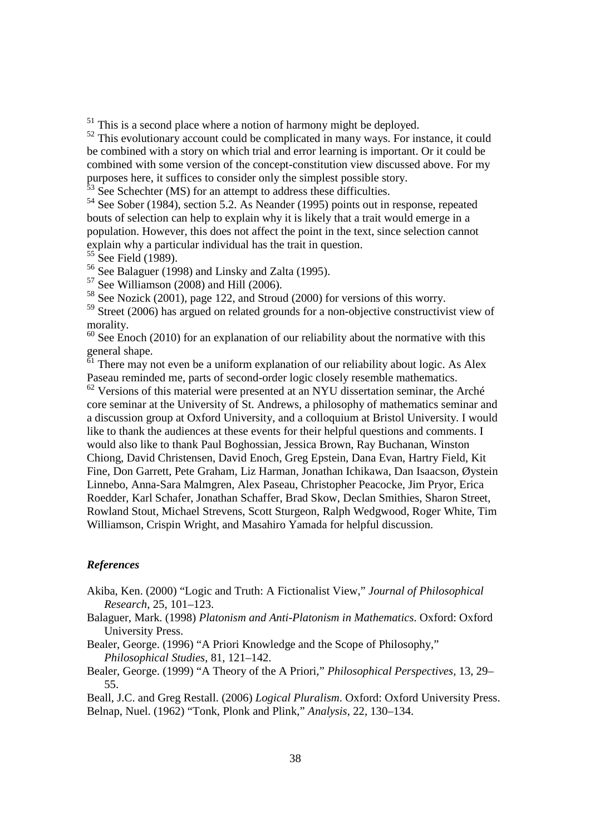$51$  This is a second place where a notion of harmony might be deployed.

 $52$  This evolutionary account could be complicated in many ways. For instance, it could be combined with a story on which trial and error learning is important. Or it could be combined with some version of the concept-constitution view discussed above. For my purposes here, it suffices to consider only the simplest possible story.

See Schechter (MS) for an attempt to address these difficulties.

 $54$  See Sober (1984), section 5.2. As Neander (1995) points out in response, repeated bouts of selection can help to explain why it is likely that a trait would emerge in a population. However, this does not affect the point in the text, since selection cannot explain why a particular individual has the trait in question.

 $55$  See Field (1989).

 $56$  See Balaguer (1998) and Linsky and Zalta (1995).

 $57$  See Williamson (2008) and Hill (2006).

 $58$  See Nozick (2001), page 122, and Stroud (2000) for versions of this worry.

<sup>59</sup> Street (2006) has argued on related grounds for a non-objective constructivist view of morality.

 $60$  See Enoch (2010) for an explanation of our reliability about the normative with this general shape.

 $\frac{61}{1}$  There may not even be a uniform explanation of our reliability about logic. As Alex Paseau reminded me, parts of second-order logic closely resemble mathematics.

 $62$  Versions of this material were presented at an NYU dissertation seminar, the Arché core seminar at the University of St. Andrews, a philosophy of mathematics seminar and a discussion group at Oxford University, and a colloquium at Bristol University. I would like to thank the audiences at these events for their helpful questions and comments. I would also like to thank Paul Boghossian, Jessica Brown, Ray Buchanan, Winston Chiong, David Christensen, David Enoch, Greg Epstein, Dana Evan, Hartry Field, Kit Fine, Don Garrett, Pete Graham, Liz Harman, Jonathan Ichikawa, Dan Isaacson, Øystein Linnebo, Anna-Sara Malmgren, Alex Paseau, Christopher Peacocke, Jim Pryor, Erica Roedder, Karl Schafer, Jonathan Schaffer, Brad Skow, Declan Smithies, Sharon Street, Rowland Stout, Michael Strevens, Scott Sturgeon, Ralph Wedgwood, Roger White, Tim Williamson, Crispin Wright, and Masahiro Yamada for helpful discussion.

## *References*

- Akiba, Ken. (2000) "Logic and Truth: A Fictionalist View," *Journal of Philosophical Research*, 25, 101–123.
- Balaguer, Mark. (1998) *Platonism and Anti-Platonism in Mathematics*. Oxford: Oxford University Press.

Bealer, George. (1996) "A Priori Knowledge and the Scope of Philosophy," *Philosophical Studies*, 81, 121–142.

Bealer, George. (1999) "A Theory of the A Priori," *Philosophical Perspectives*, 13, 29– 55.

Beall, J.C. and Greg Restall. (2006) *Logical Pluralism*. Oxford: Oxford University Press. Belnap, Nuel. (1962) "Tonk, Plonk and Plink," *Analysis*, 22, 130–134.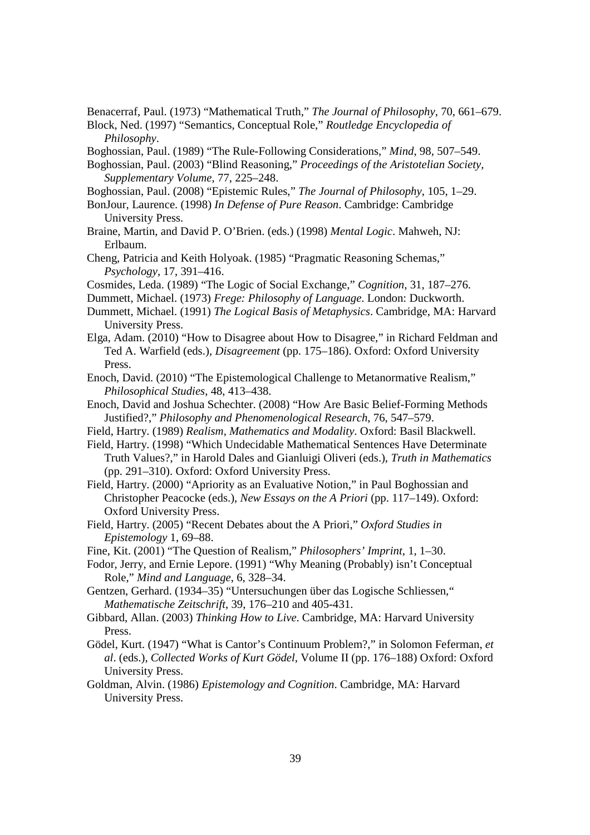Benacerraf, Paul. (1973) "Mathematical Truth," *The Journal of Philosophy*, 70, 661–679.

Block, Ned. (1997) "Semantics, Conceptual Role," *Routledge Encyclopedia of Philosophy*.

- Boghossian, Paul. (1989) "The Rule-Following Considerations," *Mind*, 98, 507–549.
- Boghossian, Paul. (2003) "Blind Reasoning," *Proceedings of the Aristotelian Society, Supplementary Volume*, 77, 225–248.
- Boghossian, Paul. (2008) "Epistemic Rules," *The Journal of Philosophy*, 105, 1–29.
- BonJour, Laurence. (1998) *In Defense of Pure Reason*. Cambridge: Cambridge University Press.
- Braine, Martin, and David P. O'Brien. (eds.) (1998) *Mental Logic*. Mahweh, NJ: Erlbaum.
- Cheng, Patricia and Keith Holyoak. (1985) "Pragmatic Reasoning Schemas," *Psychology*, 17, 391–416.
- Cosmides, Leda. (1989) "The Logic of Social Exchange," *Cognition*, 31, 187–276.
- Dummett, Michael. (1973) *Frege: Philosophy of Language*. London: Duckworth.
- Dummett, Michael. (1991) *The Logical Basis of Metaphysics*. Cambridge, MA: Harvard University Press.
- Elga, Adam. (2010) "How to Disagree about How to Disagree," in Richard Feldman and Ted A. Warfield (eds.), *Disagreement* (pp. 175–186). Oxford: Oxford University Press.
- Enoch, David. (2010) "The Epistemological Challenge to Metanormative Realism," *Philosophical Studies*, 48, 413–438.
- Enoch, David and Joshua Schechter. (2008) "How Are Basic Belief-Forming Methods Justified?," *Philosophy and Phenomenological Research*, 76, 547–579.
- Field, Hartry. (1989) *Realism, Mathematics and Modality*. Oxford: Basil Blackwell.
- Field, Hartry. (1998) "Which Undecidable Mathematical Sentences Have Determinate Truth Values?," in Harold Dales and Gianluigi Oliveri (eds.), *Truth in Mathematics* (pp. 291–310). Oxford: Oxford University Press.
- Field, Hartry. (2000) "Apriority as an Evaluative Notion," in Paul Boghossian and Christopher Peacocke (eds.), *New Essays on the A Priori* (pp. 117–149). Oxford: Oxford University Press.
- Field, Hartry. (2005) "Recent Debates about the A Priori," *Oxford Studies in Epistemology* 1, 69–88.
- Fine, Kit. (2001) "The Question of Realism," *Philosophers' Imprint*, 1, 1–30.
- Fodor, Jerry, and Ernie Lepore. (1991) "Why Meaning (Probably) isn't Conceptual Role," *Mind and Language*, 6, 328–34.
- Gentzen, Gerhard. (1934–35) "Untersuchungen über das Logische Schliessen," *Mathematische Zeitschrift*, 39, 176–210 and 405-431.
- Gibbard, Allan. (2003) *Thinking How to Live*. Cambridge, MA: Harvard University Press.
- Gödel, Kurt. (1947) "What is Cantor's Continuum Problem?," in Solomon Feferman, *et al*. (eds.), *Collected Works of Kurt Gödel*, Volume II (pp. 176–188) Oxford: Oxford University Press.
- Goldman, Alvin. (1986) *Epistemology and Cognition*. Cambridge, MA: Harvard University Press.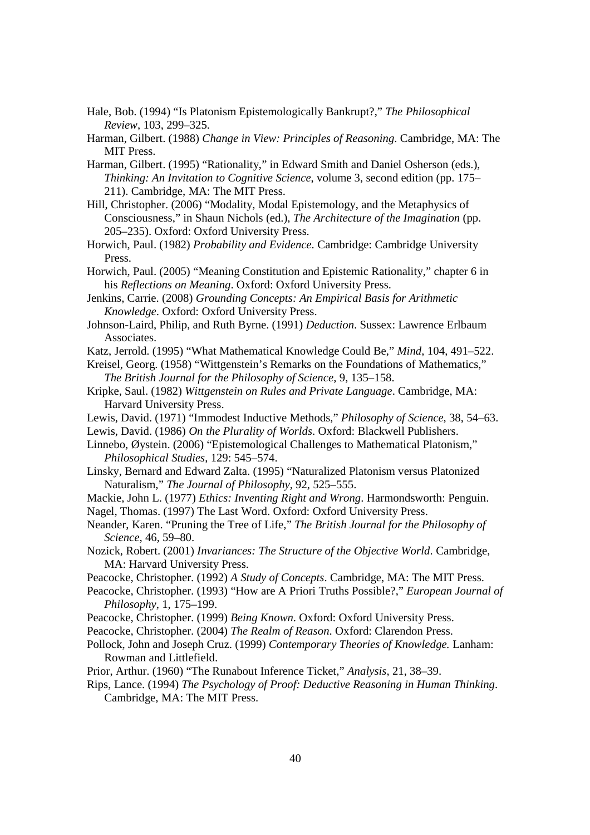- Hale, Bob. (1994) "Is Platonism Epistemologically Bankrupt?," *The Philosophical Review*, 103, 299–325.
- Harman, Gilbert. (1988) *Change in View: Principles of Reasoning*. Cambridge, MA: The MIT Press.
- Harman, Gilbert. (1995) "Rationality," in Edward Smith and Daniel Osherson (eds.), *Thinking: An Invitation to Cognitive Science*, volume 3, second edition (pp. 175– 211). Cambridge, MA: The MIT Press.
- Hill, Christopher. (2006) "Modality, Modal Epistemology, and the Metaphysics of Consciousness," in Shaun Nichols (ed.), *The Architecture of the Imagination* (pp. 205–235). Oxford: Oxford University Press.
- Horwich, Paul. (1982) *Probability and Evidence*. Cambridge: Cambridge University Press.
- Horwich, Paul. (2005) "Meaning Constitution and Epistemic Rationality," chapter 6 in his *Reflections on Meaning*. Oxford: Oxford University Press.
- Jenkins, Carrie. (2008) *Grounding Concepts: An Empirical Basis for Arithmetic Knowledge*. Oxford: Oxford University Press.
- Johnson-Laird, Philip, and Ruth Byrne. (1991) *Deduction*. Sussex: Lawrence Erlbaum Associates.
- Katz, Jerrold. (1995) "What Mathematical Knowledge Could Be," *Mind*, 104, 491–522.
- Kreisel, Georg. (1958) "Wittgenstein's Remarks on the Foundations of Mathematics," *The British Journal for the Philosophy of Science*, 9, 135–158.
- Kripke, Saul. (1982) *Wittgenstein on Rules and Private Language*. Cambridge, MA: Harvard University Press.
- Lewis, David. (1971) "Immodest Inductive Methods," *Philosophy of Science*, 38, 54–63.
- Lewis, David. (1986) *On the Plurality of Worlds*. Oxford: Blackwell Publishers.
- Linnebo, Øystein. (2006) "Epistemological Challenges to Mathematical Platonism," *Philosophical Studies*, 129: 545–574.
- Linsky, Bernard and Edward Zalta. (1995) "Naturalized Platonism versus Platonized Naturalism," *The Journal of Philosophy*, 92, 525–555.
- Mackie, John L. (1977) *Ethics: Inventing Right and Wrong*. Harmondsworth: Penguin.
- Nagel, Thomas. (1997) The Last Word. Oxford: Oxford University Press.
- Neander, Karen. "Pruning the Tree of Life," *The British Journal for the Philosophy of Science*, 46, 59–80.
- Nozick, Robert. (2001) *Invariances: The Structure of the Objective World*. Cambridge, MA: Harvard University Press.
- Peacocke, Christopher. (1992) *A Study of Concepts*. Cambridge, MA: The MIT Press.
- Peacocke, Christopher. (1993) "How are A Priori Truths Possible?," *European Journal of Philosophy*, 1, 175–199.
- Peacocke, Christopher. (1999) *Being Known*. Oxford: Oxford University Press.
- Peacocke, Christopher. (2004) *The Realm of Reason*. Oxford: Clarendon Press.
- Pollock, John and Joseph Cruz. (1999) *Contemporary Theories of Knowledge.* Lanham: Rowman and Littlefield.
- Prior, Arthur. (1960) "The Runabout Inference Ticket," *Analysis*, 21, 38–39.
- Rips, Lance. (1994) *The Psychology of Proof: Deductive Reasoning in Human Thinking*. Cambridge, MA: The MIT Press.